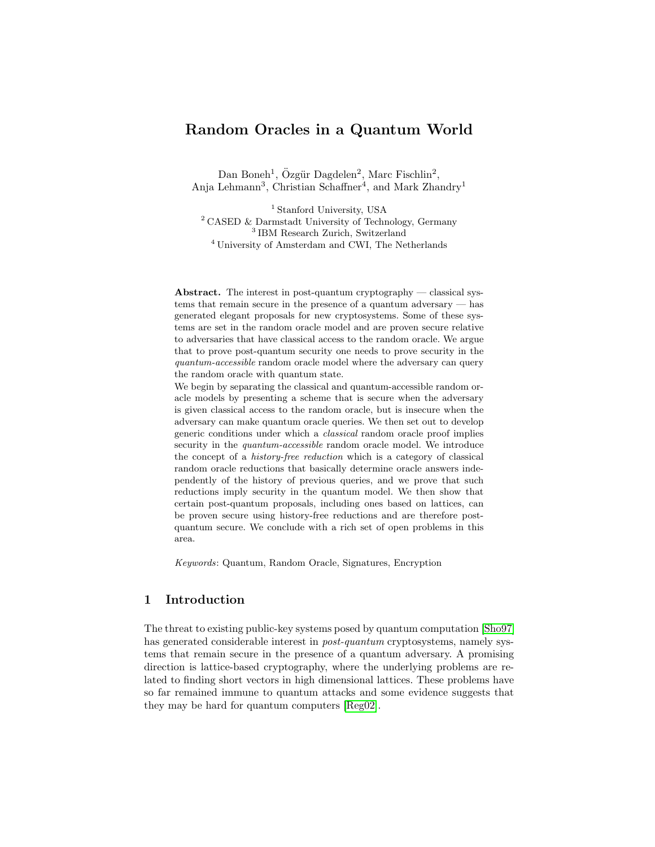# Random Oracles in a Quantum World

Dan Boneh<sup>1</sup>, Özgür Dagdelen<sup>2</sup>, Marc Fischlin<sup>2</sup>, Anja Lehmann<sup>3</sup>, Christian Schaffner<sup>4</sup>, and Mark Zhandry<sup>1</sup>

 Stanford University, USA CASED & Darmstadt University of Technology, Germany IBM Research Zurich, Switzerland University of Amsterdam and CWI, The Netherlands

Abstract. The interest in post-quantum cryptography  $-$  classical systems that remain secure in the presence of a quantum adversary — has generated elegant proposals for new cryptosystems. Some of these systems are set in the random oracle model and are proven secure relative to adversaries that have classical access to the random oracle. We argue that to prove post-quantum security one needs to prove security in the quantum-accessible random oracle model where the adversary can query the random oracle with quantum state.

We begin by separating the classical and quantum-accessible random oracle models by presenting a scheme that is secure when the adversary is given classical access to the random oracle, but is insecure when the adversary can make quantum oracle queries. We then set out to develop generic conditions under which a classical random oracle proof implies security in the *quantum-accessible* random oracle model. We introduce the concept of a history-free reduction which is a category of classical random oracle reductions that basically determine oracle answers independently of the history of previous queries, and we prove that such reductions imply security in the quantum model. We then show that certain post-quantum proposals, including ones based on lattices, can be proven secure using history-free reductions and are therefore postquantum secure. We conclude with a rich set of open problems in this area.

Keywords: Quantum, Random Oracle, Signatures, Encryption

## 1 Introduction

The threat to existing public-key systems posed by quantum computation [\[Sho97\]](#page-28-0) has generated considerable interest in *post-quantum* cryptosystems, namely systems that remain secure in the presence of a quantum adversary. A promising direction is lattice-based cryptography, where the underlying problems are related to finding short vectors in high dimensional lattices. These problems have so far remained immune to quantum attacks and some evidence suggests that they may be hard for quantum computers [\[Reg02\]](#page-28-1).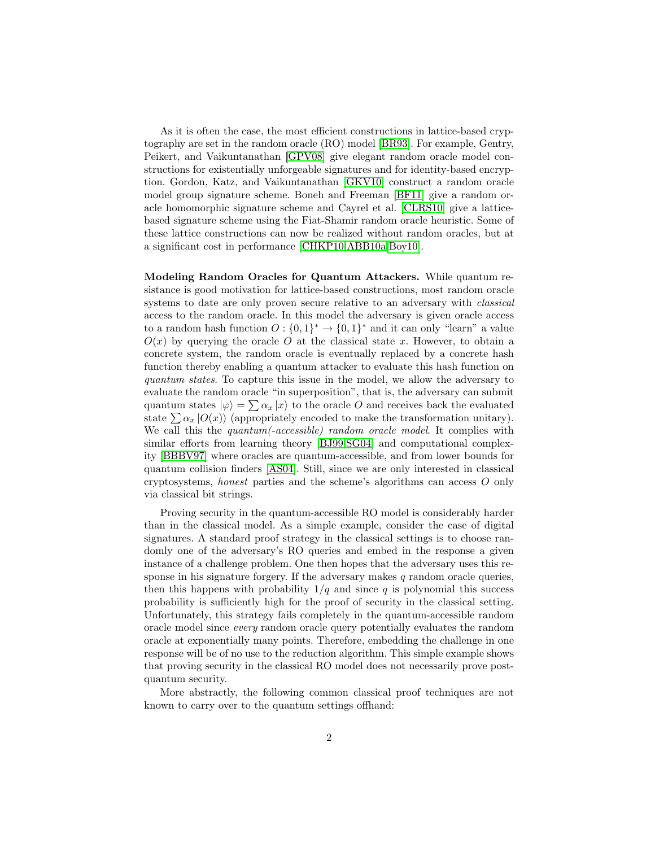As it is often the case, the most efficient constructions in lattice-based cryptography are set in the random oracle (RO) model [\[BR93\]](#page-27-0). For example, Gentry, Peikert, and Vaikuntanathan [\[GPV08\]](#page-28-2) give elegant random oracle model constructions for existentially unforgeable signatures and for identity-based encryption. Gordon, Katz, and Vaikuntanathan [\[GKV10\]](#page-28-3) construct a random oracle model group signature scheme. Boneh and Freeman [\[BF11\]](#page-27-1) give a random oracle homomorphic signature scheme and Cayrel et al. [\[CLRS10\]](#page-27-2) give a latticebased signature scheme using the Fiat-Shamir random oracle heuristic. Some of these lattice constructions can now be realized without random oracles, but at a significant cost in performance [\[CHKP10,](#page-27-3)[ABB10a,](#page-26-0)[Boy10\]](#page-27-4).

Modeling Random Oracles for Quantum Attackers. While quantum resistance is good motivation for lattice-based constructions, most random oracle systems to date are only proven secure relative to an adversary with *classical* access to the random oracle. In this model the adversary is given oracle access to a random hash function  $O: \{0,1\}^* \to \{0,1\}^*$  and it can only "learn" a value  $O(x)$  by querying the oracle O at the classical state x. However, to obtain a concrete system, the random oracle is eventually replaced by a concrete hash function thereby enabling a quantum attacker to evaluate this hash function on quantum states. To capture this issue in the model, we allow the adversary to evaluate the random oracle "in superposition", that is, the adversary can submit quantum states  $|\varphi\rangle = \sum \alpha_x |x\rangle$  to the oracle O and receives back the evaluated state  $\sum \alpha_x |O(x)\rangle$  (appropriately encoded to make the transformation unitary). We call this the quantum(-accessible) random oracle model. It complies with similar efforts from learning theory [\[BJ99,](#page-27-5)[SG04\]](#page-28-4) and computational complexity [\[BBBV97\]](#page-27-6) where oracles are quantum-accessible, and from lower bounds for quantum collision finders [\[AS04\]](#page-26-1). Still, since we are only interested in classical cryptosystems, honest parties and the scheme's algorithms can access O only via classical bit strings.

Proving security in the quantum-accessible RO model is considerably harder than in the classical model. As a simple example, consider the case of digital signatures. A standard proof strategy in the classical settings is to choose randomly one of the adversary's RO queries and embed in the response a given instance of a challenge problem. One then hopes that the adversary uses this response in his signature forgery. If the adversary makes  $q$  random oracle queries, then this happens with probability  $1/q$  and since q is polynomial this success probability is sufficiently high for the proof of security in the classical setting. Unfortunately, this strategy fails completely in the quantum-accessible random oracle model since every random oracle query potentially evaluates the random oracle at exponentially many points. Therefore, embedding the challenge in one response will be of no use to the reduction algorithm. This simple example shows that proving security in the classical RO model does not necessarily prove postquantum security.

More abstractly, the following common classical proof techniques are not known to carry over to the quantum settings offhand: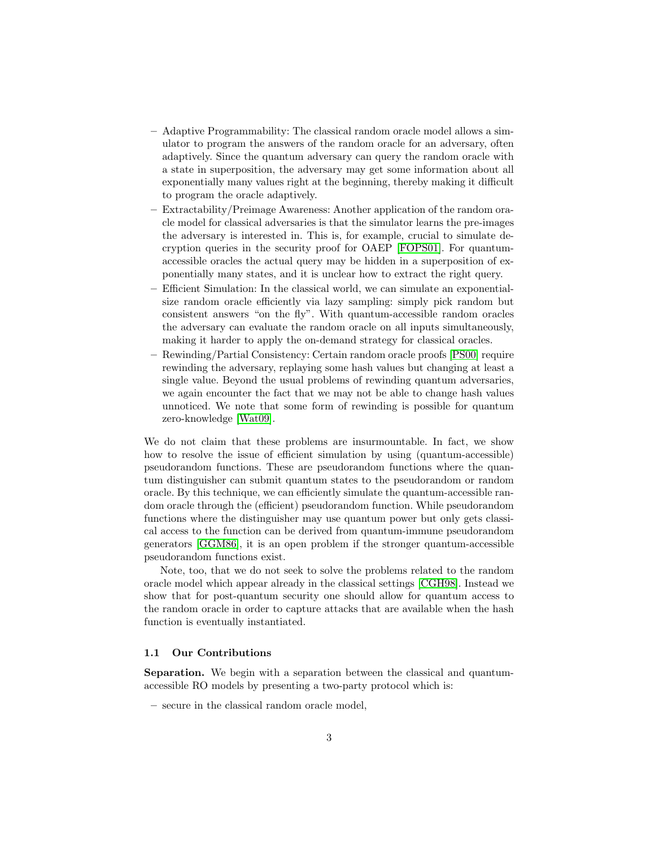- Adaptive Programmability: The classical random oracle model allows a simulator to program the answers of the random oracle for an adversary, often adaptively. Since the quantum adversary can query the random oracle with a state in superposition, the adversary may get some information about all exponentially many values right at the beginning, thereby making it difficult to program the oracle adaptively.
- Extractability/Preimage Awareness: Another application of the random oracle model for classical adversaries is that the simulator learns the pre-images the adversary is interested in. This is, for example, crucial to simulate decryption queries in the security proof for OAEP [\[FOPS01\]](#page-28-5). For quantumaccessible oracles the actual query may be hidden in a superposition of exponentially many states, and it is unclear how to extract the right query.
- Efficient Simulation: In the classical world, we can simulate an exponentialsize random oracle efficiently via lazy sampling: simply pick random but consistent answers "on the fly". With quantum-accessible random oracles the adversary can evaluate the random oracle on all inputs simultaneously, making it harder to apply the on-demand strategy for classical oracles.
- Rewinding/Partial Consistency: Certain random oracle proofs [\[PS00\]](#page-28-6) require rewinding the adversary, replaying some hash values but changing at least a single value. Beyond the usual problems of rewinding quantum adversaries, we again encounter the fact that we may not be able to change hash values unnoticed. We note that some form of rewinding is possible for quantum zero-knowledge [\[Wat09\]](#page-29-0).

We do not claim that these problems are insurmountable. In fact, we show how to resolve the issue of efficient simulation by using (quantum-accessible) pseudorandom functions. These are pseudorandom functions where the quantum distinguisher can submit quantum states to the pseudorandom or random oracle. By this technique, we can efficiently simulate the quantum-accessible random oracle through the (efficient) pseudorandom function. While pseudorandom functions where the distinguisher may use quantum power but only gets classical access to the function can be derived from quantum-immune pseudorandom generators [\[GGM86\]](#page-28-7), it is an open problem if the stronger quantum-accessible pseudorandom functions exist.

Note, too, that we do not seek to solve the problems related to the random oracle model which appear already in the classical settings [\[CGH98\]](#page-27-7). Instead we show that for post-quantum security one should allow for quantum access to the random oracle in order to capture attacks that are available when the hash function is eventually instantiated.

### 1.1 Our Contributions

Separation. We begin with a separation between the classical and quantumaccessible RO models by presenting a two-party protocol which is:

– secure in the classical random oracle model,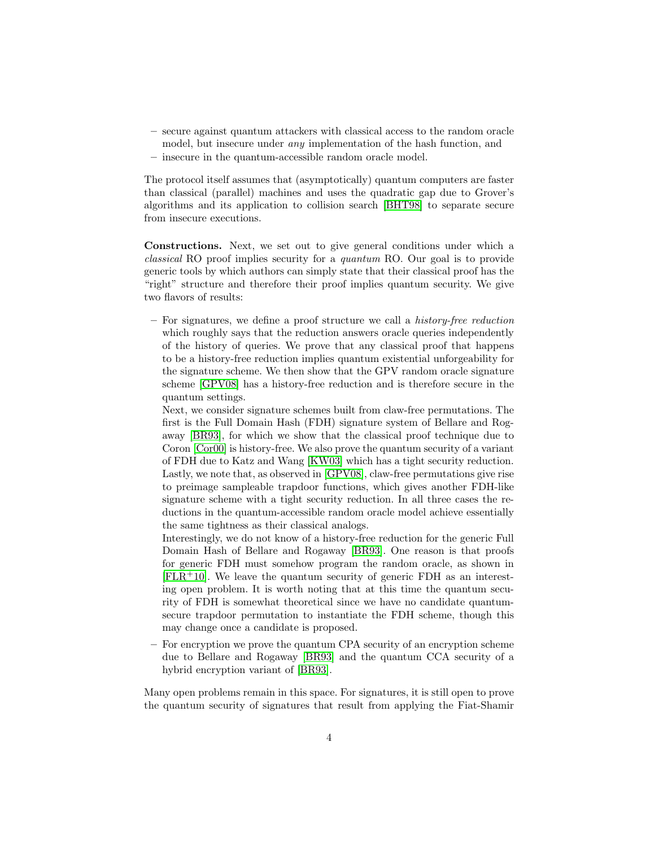- secure against quantum attackers with classical access to the random oracle model, but insecure under any implementation of the hash function, and
- insecure in the quantum-accessible random oracle model.

The protocol itself assumes that (asymptotically) quantum computers are faster than classical (parallel) machines and uses the quadratic gap due to Grover's algorithms and its application to collision search [\[BHT98\]](#page-27-8) to separate secure from insecure executions.

Constructions. Next, we set out to give general conditions under which a classical RO proof implies security for a quantum RO. Our goal is to provide generic tools by which authors can simply state that their classical proof has the "right" structure and therefore their proof implies quantum security. We give two flavors of results:

– For signatures, we define a proof structure we call a history-free reduction which roughly says that the reduction answers oracle queries independently of the history of queries. We prove that any classical proof that happens to be a history-free reduction implies quantum existential unforgeability for the signature scheme. We then show that the GPV random oracle signature scheme [\[GPV08\]](#page-28-2) has a history-free reduction and is therefore secure in the quantum settings.

Next, we consider signature schemes built from claw-free permutations. The first is the Full Domain Hash (FDH) signature system of Bellare and Rogaway [\[BR93\]](#page-27-0), for which we show that the classical proof technique due to Coron [\[Cor00\]](#page-27-9) is history-free. We also prove the quantum security of a variant of FDH due to Katz and Wang [\[KW03\]](#page-28-8) which has a tight security reduction. Lastly, we note that, as observed in [\[GPV08\]](#page-28-2), claw-free permutations give rise to preimage sampleable trapdoor functions, which gives another FDH-like signature scheme with a tight security reduction. In all three cases the reductions in the quantum-accessible random oracle model achieve essentially the same tightness as their classical analogs.

Interestingly, we do not know of a history-free reduction for the generic Full Domain Hash of Bellare and Rogaway [\[BR93\]](#page-27-0). One reason is that proofs for generic FDH must somehow program the random oracle, as shown in  $[FLR+10]$  $[FLR+10]$ . We leave the quantum security of generic FDH as an interesting open problem. It is worth noting that at this time the quantum security of FDH is somewhat theoretical since we have no candidate quantumsecure trapdoor permutation to instantiate the FDH scheme, though this may change once a candidate is proposed.

– For encryption we prove the quantum CPA security of an encryption scheme due to Bellare and Rogaway [\[BR93\]](#page-27-0) and the quantum CCA security of a hybrid encryption variant of [\[BR93\]](#page-27-0).

Many open problems remain in this space. For signatures, it is still open to prove the quantum security of signatures that result from applying the Fiat-Shamir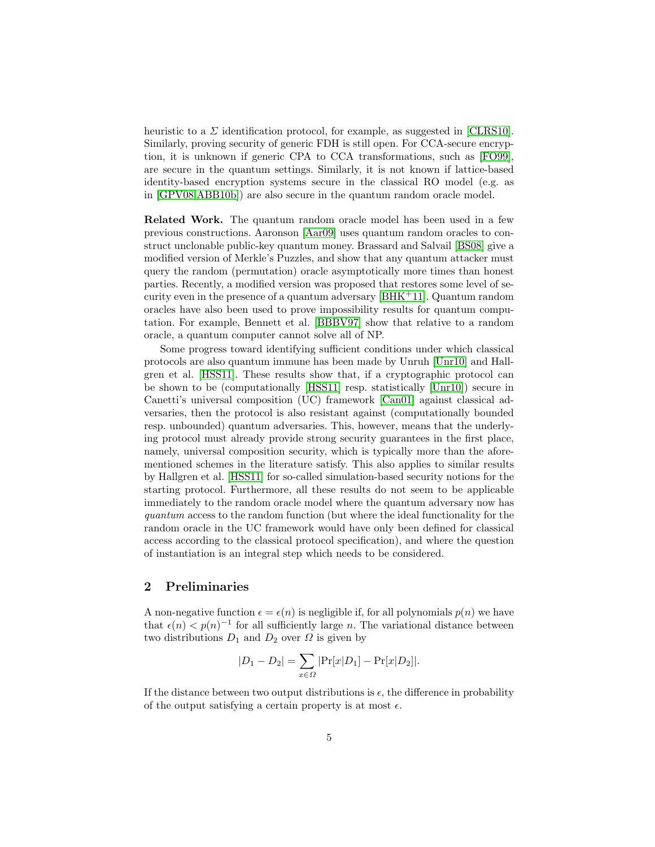heuristic to a  $\Sigma$  identification protocol, for example, as suggested in [\[CLRS10\]](#page-27-2). Similarly, proving security of generic FDH is still open. For CCA-secure encryption, it is unknown if generic CPA to CCA transformations, such as [\[FO99\]](#page-28-9), are secure in the quantum settings. Similarly, it is not known if lattice-based identity-based encryption systems secure in the classical RO model (e.g. as in [\[GPV08](#page-28-2)[,ABB10b\]](#page-26-2)) are also secure in the quantum random oracle model.

Related Work. The quantum random oracle model has been used in a few previous constructions. Aaronson [\[Aar09\]](#page-26-3) uses quantum random oracles to construct unclonable public-key quantum money. Brassard and Salvail [\[BS08\]](#page-27-11) give a modified version of Merkle's Puzzles, and show that any quantum attacker must query the random (permutation) oracle asymptotically more times than honest parties. Recently, a modified version was proposed that restores some level of security even in the presence of a quantum adversary  $[BHK+11]$  $[BHK+11]$ . Quantum random oracles have also been used to prove impossibility results for quantum computation. For example, Bennett et al. [\[BBBV97\]](#page-27-6) show that relative to a random oracle, a quantum computer cannot solve all of NP.

Some progress toward identifying sufficient conditions under which classical protocols are also quantum immune has been made by Unruh [\[Unr10\]](#page-29-1) and Hallgren et al. [\[HSS11\]](#page-28-10). These results show that, if a cryptographic protocol can be shown to be (computationally [\[HSS11\]](#page-28-10) resp. statistically [\[Unr10\]](#page-29-1)) secure in Canetti's universal composition (UC) framework [\[Can01\]](#page-27-13) against classical adversaries, then the protocol is also resistant against (computationally bounded resp. unbounded) quantum adversaries. This, however, means that the underlying protocol must already provide strong security guarantees in the first place, namely, universal composition security, which is typically more than the aforementioned schemes in the literature satisfy. This also applies to similar results by Hallgren et al. [\[HSS11\]](#page-28-10) for so-called simulation-based security notions for the starting protocol. Furthermore, all these results do not seem to be applicable immediately to the random oracle model where the quantum adversary now has quantum access to the random function (but where the ideal functionality for the random oracle in the UC framework would have only been defined for classical access according to the classical protocol specification), and where the question of instantiation is an integral step which needs to be considered.

#### 2 Preliminaries

A non-negative function  $\epsilon = \epsilon(n)$  is negligible if, for all polynomials  $p(n)$  we have that  $\epsilon(n) < p(n)^{-1}$  for all sufficiently large *n*. The variational distance between two distributions  $D_1$  and  $D_2$  over  $\Omega$  is given by

$$
|D_1 - D_2| = \sum_{x \in \Omega} |Pr[x|D_1] - Pr[x|D_2]|.
$$

If the distance between two output distributions is  $\epsilon$ , the difference in probability of the output satisfying a certain property is at most  $\epsilon$ .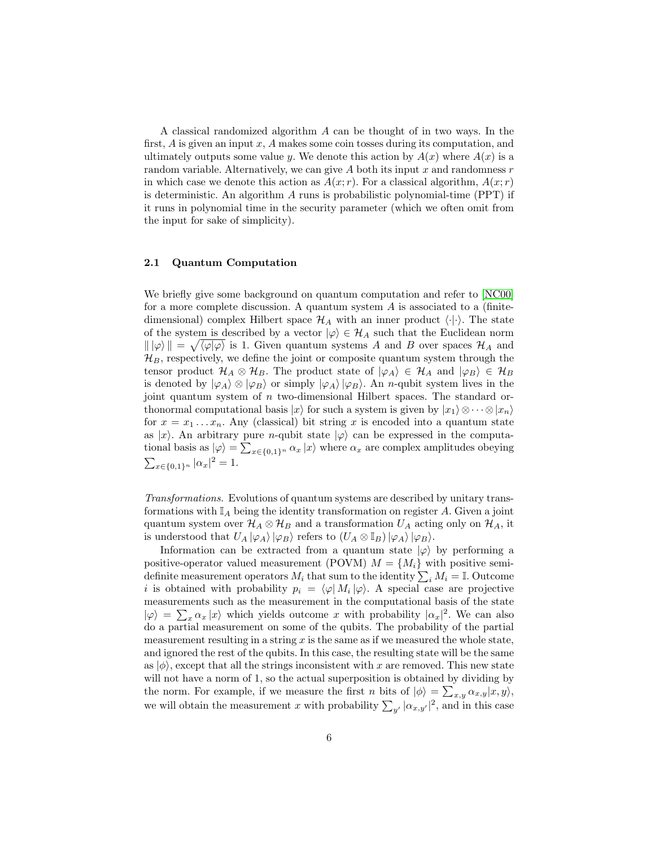A classical randomized algorithm A can be thought of in two ways. In the first,  $A$  is given an input  $x$ ,  $A$  makes some coin tosses during its computation, and ultimately outputs some value y. We denote this action by  $A(x)$  where  $A(x)$  is a random variable. Alternatively, we can give  $A$  both its input  $x$  and randomness  $r$ in which case we denote this action as  $A(x; r)$ . For a classical algorithm,  $A(x; r)$ is deterministic. An algorithm A runs is probabilistic polynomial-time (PPT) if it runs in polynomial time in the security parameter (which we often omit from the input for sake of simplicity).

#### 2.1 Quantum Computation

We briefly give some background on quantum computation and refer to [\[NC00\]](#page-28-11) for a more complete discussion. A quantum system  $A$  is associated to a (finitedimensional) complex Hilbert space  $\mathcal{H}_A$  with an inner product  $\langle \cdot | \cdot \rangle$ . The state of the system is described by a vector  $|\varphi\rangle \in \mathcal{H}_A$  such that the Euclidean norm  $\|\phi\rangle\| = \sqrt{\langle \phi | \phi \rangle}$  is 1. Given quantum systems A and B over spaces  $\mathcal{H}_A$  and  $\mathcal{H}_B$ , respectively, we define the joint or composite quantum system through the tensor product  $\mathcal{H}_A \otimes \mathcal{H}_B$ . The product state of  $|\varphi_A\rangle \in \mathcal{H}_A$  and  $|\varphi_B\rangle \in \mathcal{H}_B$ is denoted by  $|\varphi_A\rangle \otimes |\varphi_B\rangle$  or simply  $|\varphi_A\rangle |\varphi_B\rangle$ . An *n*-qubit system lives in the joint quantum system of  $n$  two-dimensional Hilbert spaces. The standard orthonormal computational basis  $|x\rangle$  for such a system is given by  $|x_1\rangle \otimes \cdots \otimes |x_n\rangle$ for  $x = x_1 \dots x_n$ . Any (classical) bit string x is encoded into a quantum state as  $|x\rangle$ . An arbitrary pure *n*-qubit state  $|\varphi\rangle$  can be expressed in the computational basis as  $|\varphi\rangle = \sum_{x \in \{0,1\}^n} \alpha_x |x\rangle$  where  $\alpha_x$  are complex amplitudes obeying  $\sum_{x \in \{0,1\}^n} |\alpha_x|^2 = 1.$ 

Transformations. Evolutions of quantum systems are described by unitary transformations with  $\mathbb{I}_A$  being the identity transformation on register A. Given a joint quantum system over  $\mathcal{H}_A \otimes \mathcal{H}_B$  and a transformation  $U_A$  acting only on  $\mathcal{H}_A$ , it is understood that  $U_A |\varphi_A\rangle |\varphi_B\rangle$  refers to  $(U_A \otimes \mathbb{I}_B) |\varphi_A\rangle |\varphi_B\rangle$ .

Information can be extracted from a quantum state  $|\varphi\rangle$  by performing a positive-operator valued measurement (POVM)  $M = \{M_i\}$  with positive semidefinite measurement operators  $M_i$  that sum to the identity  $\sum_i M_i = \mathbb{I}$ . Outcome i is obtained with probability  $p_i = \langle \varphi | M_i | \varphi \rangle$ . A special case are projective measurements such as the measurement in the computational basis of the state  $|\varphi\rangle = \sum_x \alpha_x |x\rangle$  which yields outcome x with probability  $|\alpha_x|^2$ . We can also do a partial measurement on some of the qubits. The probability of the partial measurement resulting in a string  $x$  is the same as if we measured the whole state, and ignored the rest of the qubits. In this case, the resulting state will be the same as  $|\phi\rangle$ , except that all the strings inconsistent with x are removed. This new state will not have a norm of 1, so the actual superposition is obtained by dividing by the norm. For example, if we measure the first n bits of  $|\phi\rangle = \sum_{x,y} \alpha_{x,y} |x,y\rangle$ , we will obtain the measurement x with probability  $\sum_{y'} |\alpha_{x,y'}|^2$ , and in this case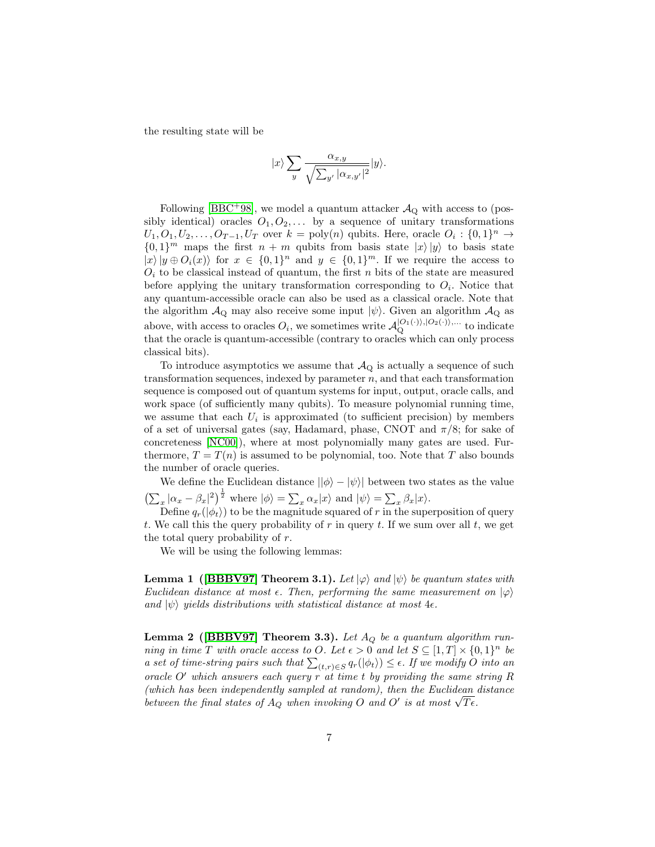the resulting state will be

$$
|x\rangle \sum_{y} \frac{\alpha_{x,y}}{\sqrt{\sum_{y'} |\alpha_{x,y'}|^2}} |y\rangle.
$$

Following [\[BBC](#page-27-14)<sup>+</sup>98], we model a quantum attacker  $\mathcal{A}_{Q}$  with access to (possibly identical) oracles  $O_1, O_2, \ldots$  by a sequence of unitary transformations  $U_1, O_1, U_2, \ldots, O_{T-1}, U_T$  over  $k = \text{poly}(n)$  qubits. Here, oracle  $O_i: \{0,1\}^n \to$  $\{0,1\}^m$  maps the first  $n + m$  qubits from basis state  $|x\rangle |y\rangle$  to basis state  $|x\rangle |y \oplus O_i(x)$  for  $x \in \{0,1\}^n$  and  $y \in \{0,1\}^m$ . If we require the access to  $O_i$  to be classical instead of quantum, the first n bits of the state are measured before applying the unitary transformation corresponding to  $O_i$ . Notice that any quantum-accessible oracle can also be used as a classical oracle. Note that the algorithm  $\mathcal{A}_{Q}$  may also receive some input  $|\psi\rangle$ . Given an algorithm  $\mathcal{A}_{Q}$  as above, with access to oracles  $O_i$ , we sometimes write  $A_Q^{|O_1(\cdot)\rangle,|O_2(\cdot)\rangle,...}$  to indicate that the oracle is quantum-accessible (contrary to oracles which can only process classical bits).

To introduce asymptotics we assume that  $\mathcal{A}_{Q}$  is actually a sequence of such transformation sequences, indexed by parameter  $n$ , and that each transformation sequence is composed out of quantum systems for input, output, oracle calls, and work space (of sufficiently many qubits). To measure polynomial running time, we assume that each  $U_i$  is approximated (to sufficient precision) by members of a set of universal gates (say, Hadamard, phase, CNOT and  $\pi/8$ ; for sake of concreteness [\[NC00\]](#page-28-11)), where at most polynomially many gates are used. Furthermore,  $T = T(n)$  is assumed to be polynomial, too. Note that T also bounds the number of oracle queries.

We define the Euclidean distance  $|\phi\rangle - |\psi\rangle|$  between two states as the value  $\left(\sum_x |\alpha_x - \beta_x|^2\right)^{\frac{1}{2}}$  where  $|\phi\rangle = \sum_x \alpha_x |x\rangle$  and  $|\psi\rangle = \sum_x \beta_x |x\rangle$ .

Define  $q_r(\ket{\phi_t})$  to be the magnitude squared of r in the superposition of query t. We call this the query probability of r in query t. If we sum over all t, we get the total query probability of r.

We will be using the following lemmas:

**Lemma 1 ([\[BBBV97\]](#page-27-6) Theorem 3.1).** Let  $|\varphi\rangle$  and  $|\psi\rangle$  be quantum states with Euclidean distance at most  $\epsilon$ . Then, performing the same measurement on  $|\varphi\rangle$ and  $|\psi\rangle$  yields distributions with statistical distance at most 4 $\epsilon$ .

<span id="page-6-0"></span>**Lemma 2** ([\[BBBV97\]](#page-27-6) Theorem 3.3). Let  $A_Q$  be a quantum algorithm running in time T with oracle access to O. Let  $\epsilon > 0$  and let  $S \subseteq [1, T] \times \{0, 1\}^n$  be a set of time-string pairs such that  $\sum_{(t,r)\in S} q_r(|\phi_t\rangle) \leq \epsilon$ . If we modify O into an oracle O' which answers each query r at time t by providing the same string  $R$ (which has been independently sampled at random), then the Euclidean distance (which has been independently sampled at random), then the Euclidean between the final states of  $A_Q$  when invoking O and O' is at most  $\sqrt{T_{\epsilon}}$ .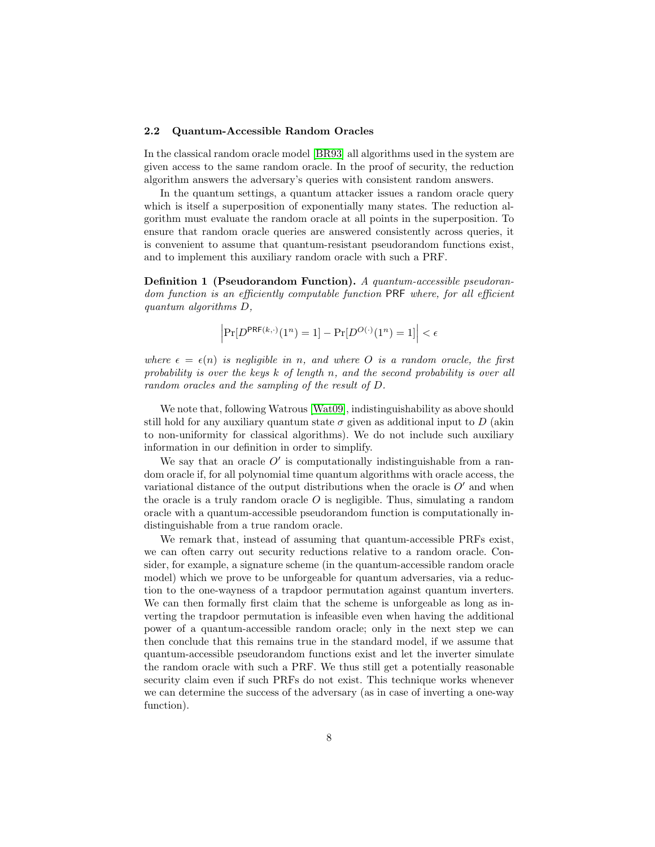#### 2.2 Quantum-Accessible Random Oracles

In the classical random oracle model [\[BR93\]](#page-27-0) all algorithms used in the system are given access to the same random oracle. In the proof of security, the reduction algorithm answers the adversary's queries with consistent random answers.

In the quantum settings, a quantum attacker issues a random oracle query which is itself a superposition of exponentially many states. The reduction algorithm must evaluate the random oracle at all points in the superposition. To ensure that random oracle queries are answered consistently across queries, it is convenient to assume that quantum-resistant pseudorandom functions exist, and to implement this auxiliary random oracle with such a PRF.

Definition 1 (Pseudorandom Function). A quantum-accessible pseudorandom function is an efficiently computable function PRF where, for all efficient quantum algorithms D,

$$
\left|\Pr[D^{\mathsf{PRF}(k,\cdot)}(1^n) = 1] - \Pr[D^{O(\cdot)}(1^n) = 1]\right| < \epsilon
$$

where  $\epsilon = \epsilon(n)$  is negligible in n, and where O is a random oracle, the first probability is over the keys  $k$  of length n, and the second probability is over all random oracles and the sampling of the result of D.

We note that, following Watrous [\[Wat09\]](#page-29-0), indistinguishability as above should still hold for any auxiliary quantum state  $\sigma$  given as additional input to D (akin to non-uniformity for classical algorithms). We do not include such auxiliary information in our definition in order to simplify.

We say that an oracle  $O'$  is computationally indistinguishable from a random oracle if, for all polynomial time quantum algorithms with oracle access, the variational distance of the output distributions when the oracle is  $O'$  and when the oracle is a truly random oracle  $O$  is negligible. Thus, simulating a random oracle with a quantum-accessible pseudorandom function is computationally indistinguishable from a true random oracle.

We remark that, instead of assuming that quantum-accessible PRFs exist, we can often carry out security reductions relative to a random oracle. Consider, for example, a signature scheme (in the quantum-accessible random oracle model) which we prove to be unforgeable for quantum adversaries, via a reduction to the one-wayness of a trapdoor permutation against quantum inverters. We can then formally first claim that the scheme is unforgeable as long as inverting the trapdoor permutation is infeasible even when having the additional power of a quantum-accessible random oracle; only in the next step we can then conclude that this remains true in the standard model, if we assume that quantum-accessible pseudorandom functions exist and let the inverter simulate the random oracle with such a PRF. We thus still get a potentially reasonable security claim even if such PRFs do not exist. This technique works whenever we can determine the success of the adversary (as in case of inverting a one-way function).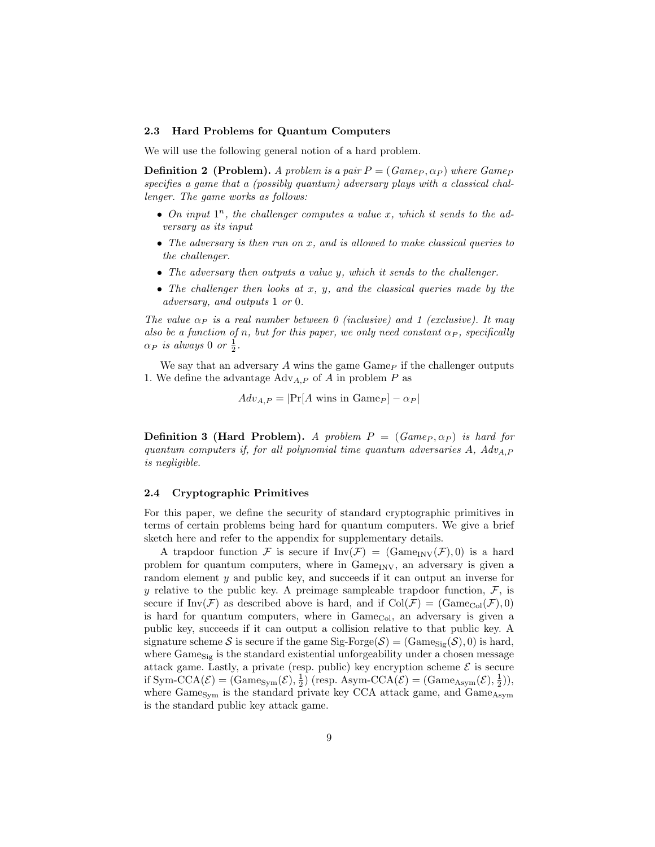#### 2.3 Hard Problems for Quantum Computers

We will use the following general notion of a hard problem.

**Definition 2** (Problem). A problem is a pair  $P = (Game_P, \alpha_P)$  where  $Game_P$ specifies a game that a (possibly quantum) adversary plays with a classical challenger. The game works as follows:

- On input  $1^n$ , the challenger computes a value x, which it sends to the adversary as its input
- The adversary is then run on x, and is allowed to make classical queries to the challenger.
- The adversary then outputs a value y, which it sends to the challenger.
- The challenger then looks at  $x, y$ , and the classical queries made by the adversary, and outputs 1 or 0.

The value  $\alpha_P$  is a real number between 0 (inclusive) and 1 (exclusive). It may also be a function of n, but for this paper, we only need constant  $\alpha_P$ , specifically  $\alpha_P$  is always 0 or  $\frac{1}{2}$ .

We say that an adversary  $A$  wins the game  $\text{Game}_P$  if the challenger outputs 1. We define the advantage  $\text{Adv}_{A,P}$  of A in problem P as

$$
Adv_{A,P} = |\Pr[A \text{ wins in Game}_P] - \alpha_P|
$$

**Definition 3 (Hard Problem).** A problem  $P = (Game_P, \alpha_P)$  is hard for quantum computers if, for all polynomial time quantum adversaries  $A$ ,  $Adv_{A,P}$ is negligible.

#### 2.4 Cryptographic Primitives

For this paper, we define the security of standard cryptographic primitives in terms of certain problems being hard for quantum computers. We give a brief sketch here and refer to the appendix for supplementary details.

A trapdoor function F is secure if  $Inv(\mathcal{F}) = (Game_{INV}(\mathcal{F}), 0)$  is a hard problem for quantum computers, where in  $Game_{INV}$ , an adversary is given a random element y and public key, and succeeds if it can output an inverse for y relative to the public key. A preimage sampleable trapdoor function,  $\mathcal{F}$ , is secure if  $Inv(\mathcal{F})$  as described above is hard, and if  $Col(\mathcal{F}) = (Game_{Col}(\mathcal{F}), 0)$ is hard for quantum computers, where in  $Game_{\text{col}}$ , an adversary is given a public key, succeeds if it can output a collision relative to that public key. A signature scheme S is secure if the game  $Sig\text{-}Force(S) = (Game<sub>Sig</sub>(S), 0)$  is hard, where  $\text{Game}_{\text{Sig}}$  is the standard existential unforgeability under a chosen message attack game. Lastly, a private (resp. public) key encryption scheme  $\mathcal E$  is secure if Sym-CCA( $\mathcal{E}$ ) = (Game<sub>Sym</sub>( $\mathcal{E}$ ),  $\frac{1}{2}$ ) (resp. Asym-CCA( $\mathcal{E}$ ) = (Game<sub>Asym</sub>( $\mathcal{E}$ ),  $\frac{1}{2}$ )), where  $\text{Game}_{\text{Sym}}$  is the standard private key CCA attack game, and  $\text{Game}_{\text{Asym}}$ is the standard public key attack game.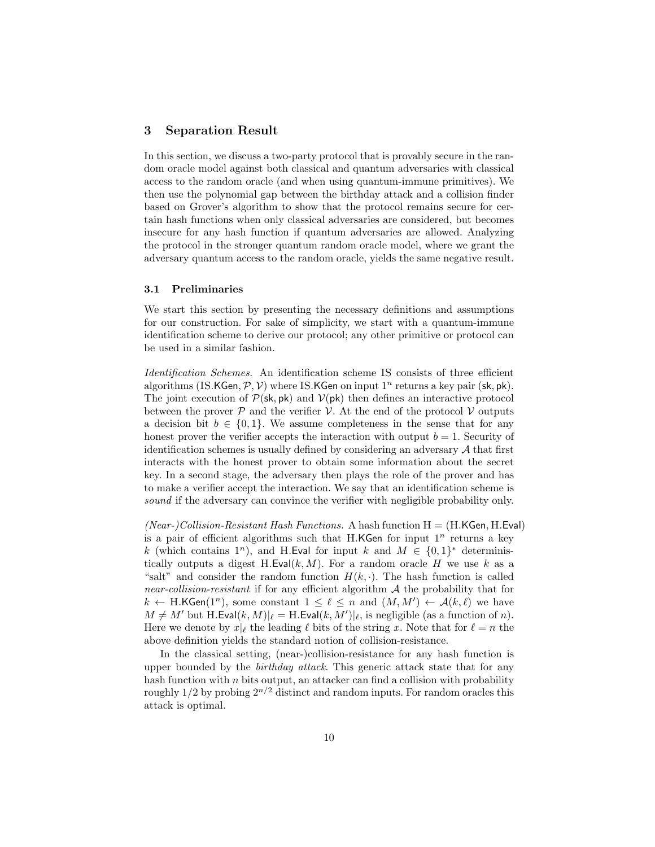### 3 Separation Result

In this section, we discuss a two-party protocol that is provably secure in the random oracle model against both classical and quantum adversaries with classical access to the random oracle (and when using quantum-immune primitives). We then use the polynomial gap between the birthday attack and a collision finder based on Grover's algorithm to show that the protocol remains secure for certain hash functions when only classical adversaries are considered, but becomes insecure for any hash function if quantum adversaries are allowed. Analyzing the protocol in the stronger quantum random oracle model, where we grant the adversary quantum access to the random oracle, yields the same negative result.

#### 3.1 Preliminaries

We start this section by presenting the necessary definitions and assumptions for our construction. For sake of simplicity, we start with a quantum-immune identification scheme to derive our protocol; any other primitive or protocol can be used in a similar fashion.

Identification Schemes. An identification scheme IS consists of three efficient algorithms (IS.KGen,  $P, V$ ) where IS.KGen on input  $1^n$  returns a key pair (sk, pk). The joint execution of  $\mathcal{P}(\mathsf{sk}, \mathsf{pk})$  and  $\mathcal{V}(\mathsf{pk})$  then defines an interactive protocol between the prover  $P$  and the verifier  $V$ . At the end of the protocol  $V$  outputs a decision bit  $b \in \{0,1\}$ . We assume completeness in the sense that for any honest prover the verifier accepts the interaction with output  $b = 1$ . Security of identification schemes is usually defined by considering an adversary  $A$  that first interacts with the honest prover to obtain some information about the secret key. In a second stage, the adversary then plays the role of the prover and has to make a verifier accept the interaction. We say that an identification scheme is sound if the adversary can convince the verifier with negligible probability only.

(Near-)Collision-Resistant Hash Functions. A hash function  $H = (H.KGen, H.Eval)$ is a pair of efficient algorithms such that H.KGen for input  $1^n$  returns a key k (which contains 1<sup>n</sup>), and H.Eval for input k and  $M \in \{0,1\}^*$  deterministically outputs a digest H.Eval $(k, M)$ . For a random oracle H we use k as a "salt" and consider the random function  $H(k, \cdot)$ . The hash function is called near-collision-resistant if for any efficient algorithm  $A$  the probability that for  $k \leftarrow H.KGen(1^n)$ , some constant  $1 \leq \ell \leq n$  and  $(M, M') \leftarrow \mathcal{A}(k, \ell)$  we have  $M \neq M'$  but  $H.Eval(k, M)|_{\ell} = H.Eval(k, M')|_{\ell}$ , is negligible (as a function of n). Here we denote by  $x|_\ell$  the leading  $\ell$  bits of the string x. Note that for  $\ell = n$  the above definition yields the standard notion of collision-resistance.

In the classical setting, (near-)collision-resistance for any hash function is upper bounded by the *birthday attack*. This generic attack state that for any hash function with  $n$  bits output, an attacker can find a collision with probability roughly  $1/2$  by probing  $2^{n/2}$  distinct and random inputs. For random oracles this attack is optimal.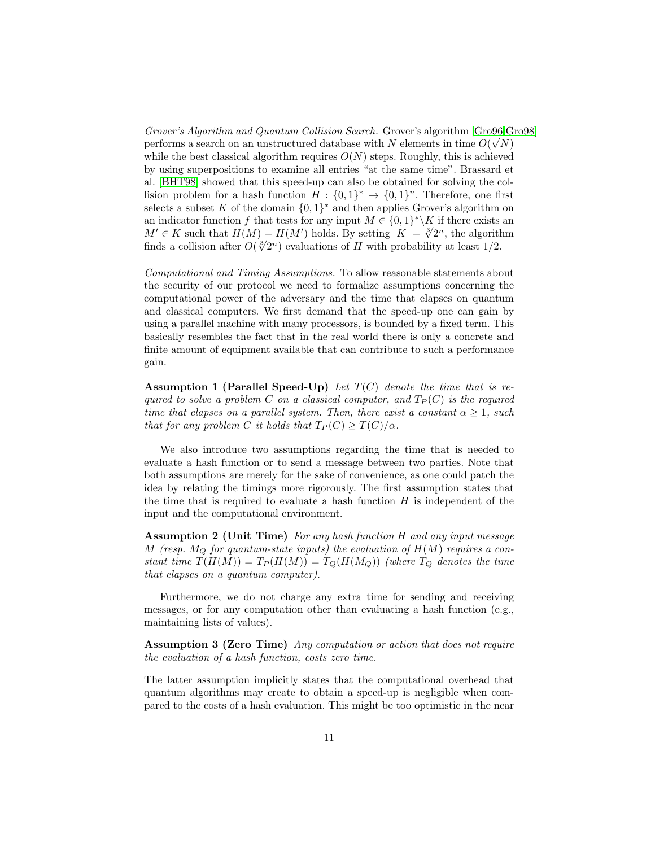Grover's Algorithm and Quantum Collision Search. Grover's algorithm [\[Gro96,](#page-28-12)[Gro98\]](#page-28-13) performs a search on an unstructured database with N elements in time  $O(\sqrt{N})$ while the best classical algorithm requires  $O(N)$  steps. Roughly, this is achieved by using superpositions to examine all entries "at the same time". Brassard et al. [\[BHT98\]](#page-27-8) showed that this speed-up can also be obtained for solving the collision problem for a hash function  $H: \{0,1\}^* \to \{0,1\}^n$ . Therefore, one first selects a subset K of the domain  $\{0,1\}^*$  and then applies Grover's algorithm on an indicator function f that tests for any input  $M \in \{0,1\}^* \backslash K$  if there exists an an indicator function f that tests for any input  $M \in \{0, 1\}^{\setminus}$  A if there exists an  $M' \in K$  such that  $H(M) = H(M')$  holds. By setting  $|K| = \sqrt[3]{2^n}$ , the algorithm  $M \in \mathbb{R}$  such that  $H(M) = H(M')$  holds. By setting  $|K| = \sqrt{2^n}$ , the algorith<br>finds a collision after  $O(\sqrt[3]{2^n})$  evaluations of H with probability at least  $1/2$ .

Computational and Timing Assumptions. To allow reasonable statements about the security of our protocol we need to formalize assumptions concerning the computational power of the adversary and the time that elapses on quantum and classical computers. We first demand that the speed-up one can gain by using a parallel machine with many processors, is bounded by a fixed term. This basically resembles the fact that in the real world there is only a concrete and finite amount of equipment available that can contribute to such a performance gain.

<span id="page-10-0"></span>Assumption 1 (Parallel Speed-Up) Let  $T(C)$  denote the time that is required to solve a problem C on a classical computer, and  $T_P(C)$  is the required time that elapses on a parallel system. Then, there exist a constant  $\alpha \geq 1$ , such that for any problem C it holds that  $T_P(C) \geq T(C)/\alpha$ .

We also introduce two assumptions regarding the time that is needed to evaluate a hash function or to send a message between two parties. Note that both assumptions are merely for the sake of convenience, as one could patch the idea by relating the timings more rigorously. The first assumption states that the time that is required to evaluate a hash function  $H$  is independent of the input and the computational environment.

Assumption 2 (Unit Time) For any hash function H and any input message M (resp.  $M_Q$  for quantum-state inputs) the evaluation of  $H(M)$  requires a constant time  $T(H(M)) = T_P(H(M)) = T_Q(H(M_Q))$  (where  $T_Q$  denotes the time that elapses on a quantum computer).

Furthermore, we do not charge any extra time for sending and receiving messages, or for any computation other than evaluating a hash function (e.g., maintaining lists of values).

Assumption 3 (Zero Time) Any computation or action that does not require the evaluation of a hash function, costs zero time.

The latter assumption implicitly states that the computational overhead that quantum algorithms may create to obtain a speed-up is negligible when compared to the costs of a hash evaluation. This might be too optimistic in the near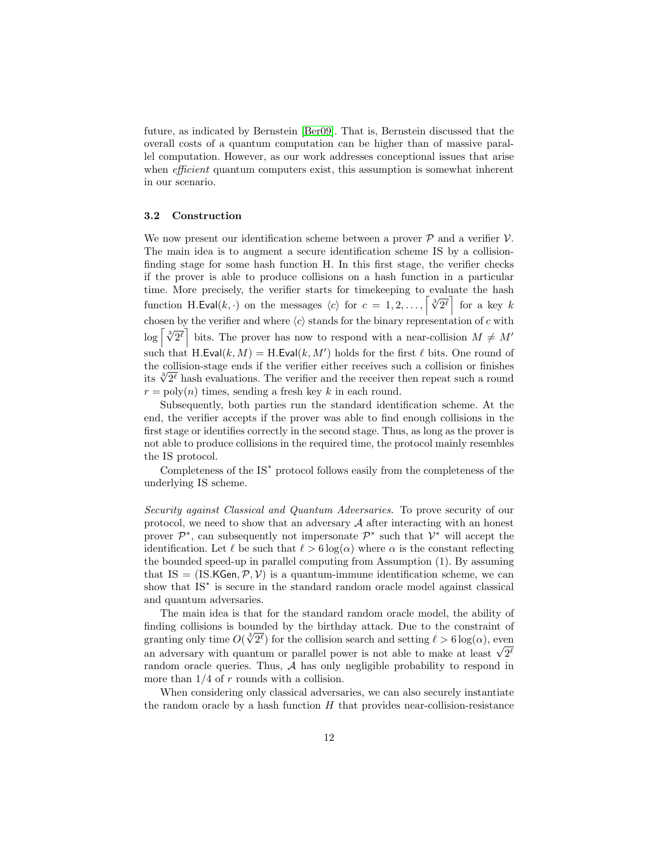future, as indicated by Bernstein [\[Ber09\]](#page-27-15). That is, Bernstein discussed that the overall costs of a quantum computation can be higher than of massive parallel computation. However, as our work addresses conceptional issues that arise when *efficient* quantum computers exist, this assumption is somewhat inherent in our scenario.

#### 3.2 Construction

We now present our identification scheme between a prover  $P$  and a verifier  $V$ . The main idea is to augment a secure identification scheme IS by a collisionfinding stage for some hash function H. In this first stage, the verifier checks if the prover is able to produce collisions on a hash function in a particular time. More precisely, the verifier starts for timekeeping to evaluate the hash function H.Eval(k, ·) on the messages  $\langle c \rangle$  for  $c = 1, 2, ..., \left[ \sqrt[3]{2^e} \right]$  for a key k chosen by the verifier and where  $\langle c \rangle$  stands for the binary representation of c with log  $\left[\sqrt[3]{2^{\ell}}\right]$  bits. The prover has now to respond with a near-collision  $M \neq M'$ such that H.Eval $(k, M) = H$ .Eval $(k, M')$  holds for the first  $\ell$  bits. One round of the collision-stage ends if the verifier either receives such a collision or finishes the collision-stage ends if the verifier either receives such a collision or finishes<br>its  $\sqrt[3]{2^{\ell}}$  hash evaluations. The verifier and the receiver then repeat such a round  $r = \text{poly}(n)$  times, sending a fresh key k in each round.

Subsequently, both parties run the standard identification scheme. At the end, the verifier accepts if the prover was able to find enough collisions in the first stage or identifies correctly in the second stage. Thus, as long as the prover is not able to produce collisions in the required time, the protocol mainly resembles the IS protocol.

Completeness of the IS<sup>∗</sup> protocol follows easily from the completeness of the underlying IS scheme.

Security against Classical and Quantum Adversaries. To prove security of our protocol, we need to show that an adversary  $A$  after interacting with an honest prover  $\mathcal{P}^*$ , can subsequently not impersonate  $\mathcal{P}^*$  such that  $\mathcal{V}^*$  will accept the identification. Let  $\ell$  be such that  $\ell > 6 \log(\alpha)$  where  $\alpha$  is the constant reflecting the bounded speed-up in parallel computing from Assumption (1). By assuming that IS =  $(IS.KGen, P, V)$  is a quantum-immune identification scheme, we can show that  $IS^*$  is secure in the standard random oracle model against classical and quantum adversaries.

The main idea is that for the standard random oracle model, the ability of finding collisions is bounded by the birthday attack. Due to the constraint of finding collisions is bounded by the birthday attack. Due to the constraint of granting only time  $O(\sqrt[3]{2^{\ell}})$  for the collision search and setting  $\ell > 6 \log(\alpha)$ , even granting only time  $O(V^2)$  for the comsion search and setting  $\ell > 0$  log( $\alpha$ ), even<br>an adversary with quantum or parallel power is not able to make at least  $\sqrt{2^{\ell}}$ random oracle queries. Thus, A has only negligible probability to respond in more than  $1/4$  of r rounds with a collision.

When considering only classical adversaries, we can also securely instantiate the random oracle by a hash function  $H$  that provides near-collision-resistance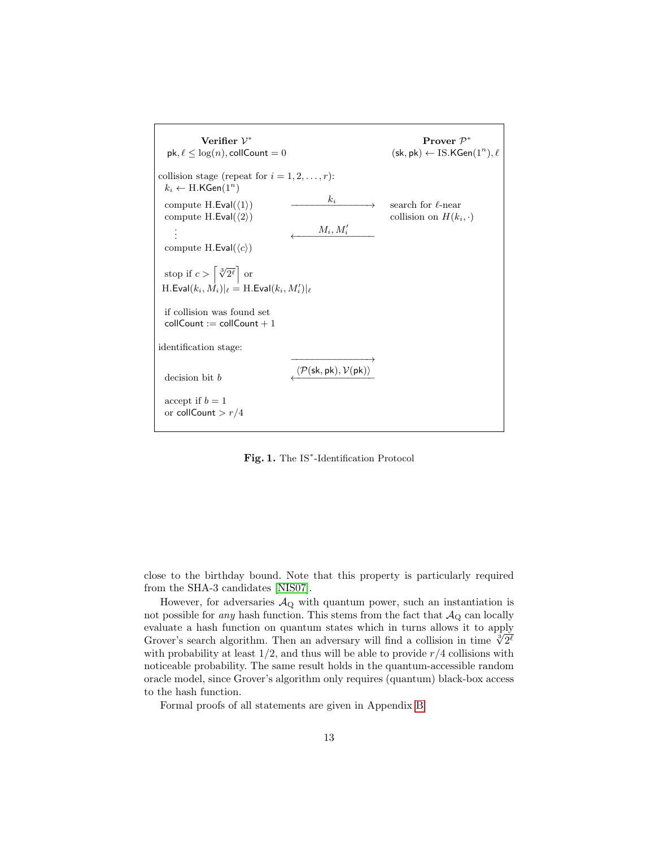```
Verifier \mathcal{V}^*∗ Prover \mathcal{P}^*pk, \ell \leq log(n), collCount = 0
                                                                                ({\sf sk}, {\sf pk}) \leftarrow \text{IS.KGen}(1^n), \ellcollision stage (repeat for i = 1, 2, \ldots, r):
 k_i \leftarrow H.KGen(1^n)compute H.Eval(\langle 1 \rangle)\begin{array}{c} k_i \longrightarrow \\ \downarrow \end{array} search for \ell-near
 compute H.Eval(\langle 2 \rangle) collision on H(k_i, \cdot).
     .
     .
                                             \longleftarrow M_i, M'_icompute H.Eval(\langle c \rangle)
 stop if c > \left\lceil \sqrt[3]{2^{\ell}} \right\rceil or
\text{H.Eval}(k_i, \overline{M}_i)|_{\ell} = \text{H.Eval}(k_i, \overline{M}'_i)|_{\ell}if collision was found set
\text{collCount} := \text{collCount} + 1identification stage:
                                             −−−−−−−−−−−−−−→
 decision bit b
                                               \langle \mathcal{P}(\mathsf{sk}, \mathsf{pk}), \mathcal{V}(\mathsf{pk}) \rangleaccept if b = 1or collCount >r/4
```
Fig. 1. The IS<sup>\*</sup>-Identification Protocol

close to the birthday bound. Note that this property is particularly required from the SHA-3 candidates [\[NIS07\]](#page-28-14).

However, for adversaries  $\mathcal{A}_{Q}$  with quantum power, such an instantiation is not possible for any hash function. This stems from the fact that  $A_Q$  can locally evaluate a hash function on quantum states which in turns allows it to apply evaluate a hash function on quantum states which in turns allows it to apply Grover's search algorithm. Then an adversary will find a collision in time  $\sqrt[3]{2^{\ell}}$ with probability at least  $1/2$ , and thus will be able to provide  $r/4$  collisions with noticeable probability. The same result holds in the quantum-accessible random oracle model, since Grover's algorithm only requires (quantum) black-box access to the hash function.

Formal proofs of all statements are given in Appendix [B.](#page-31-0)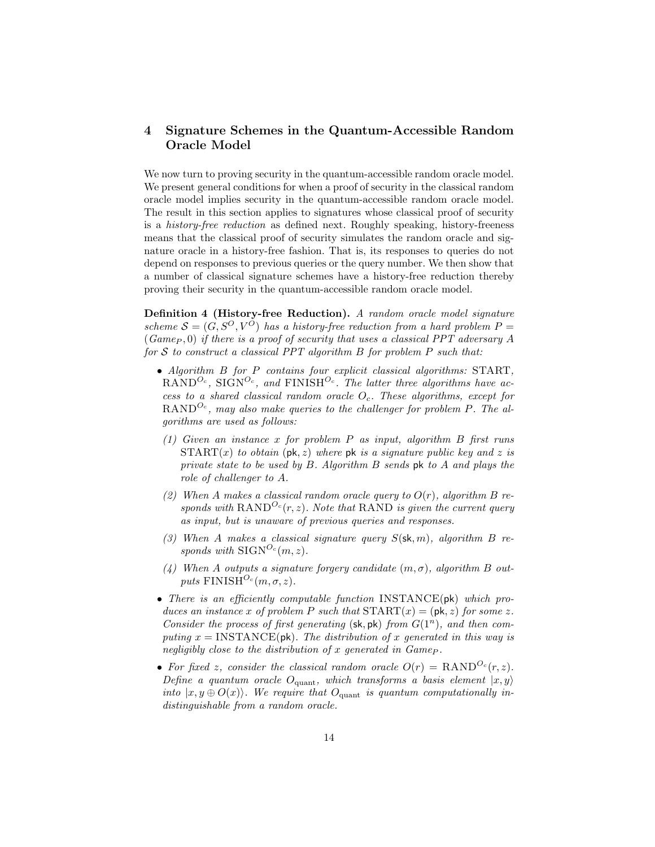## <span id="page-13-1"></span>4 Signature Schemes in the Quantum-Accessible Random Oracle Model

We now turn to proving security in the quantum-accessible random oracle model. We present general conditions for when a proof of security in the classical random oracle model implies security in the quantum-accessible random oracle model. The result in this section applies to signatures whose classical proof of security is a history-free reduction as defined next. Roughly speaking, history-freeness means that the classical proof of security simulates the random oracle and signature oracle in a history-free fashion. That is, its responses to queries do not depend on responses to previous queries or the query number. We then show that a number of classical signature schemes have a history-free reduction thereby proving their security in the quantum-accessible random oracle model.

<span id="page-13-0"></span>Definition 4 (History-free Reduction). A random oracle model signature scheme  $S = (G, S^{O}, V^{O})$  has a history-free reduction from a hard problem  $P =$  $(Game_P, 0)$  if there is a proof of security that uses a classical PPT adversary A for  $S$  to construct a classical PPT algorithm  $B$  for problem  $P$  such that:

- Algorithm B for P contains four explicit classical algorithms: START,  $\text{RAND}^{O_c}$ ,  $\text{SIGN}^{O_c}$ , and  $\text{FINISH}^{O_c}$ . The latter three algorithms have access to a shared classical random oracle  $O_c$ . These algorithms, except for  $\text{RAND}^{O_c}$ , may also make queries to the challenger for problem P. The algorithms are used as follows:
	- (1) Given an instance x for problem P as input, algorithm B first runs  $\text{START}(x)$  to obtain (pk, z) where pk is a signature public key and z is private state to be used by B. Algorithm B sends pk to A and plays the role of challenger to A.
- (2) When A makes a classical random oracle query to  $O(r)$ , algorithm B responds with  $\text{RAND}^{O_c}(r, z)$ . Note that RAND is given the current query as input, but is unaware of previous queries and responses.
- (3) When A makes a classical signature query  $S(\mathsf{sk}, m)$ , algorithm B responds with  $\text{SIGN}^{O_c}(m, z)$ .
- (4) When A outputs a signature forgery candidate  $(m, \sigma)$ , algorithm B outputs  $\text{FINISH}^{O_c}(m, \sigma, z)$ .
- There is an efficiently computable function INSTANCE(pk) which produces an instance x of problem P such that  $\text{START}(x) = (\text{pk}, z)$  for some z. Consider the process of first generating  $(\mathsf{sk}, \mathsf{pk})$  from  $G(1^n)$ , and then computing  $x = \text{INSTANCE}(\text{pk})$ . The distribution of x generated in this way is negligibly close to the distribution of  $x$  generated in  $Game_P$ .
- For fixed z, consider the classical random oracle  $O(r) = \text{RAND}^{O_c}(r, z)$ . Define a quantum oracle O<sub>quant</sub>, which transforms a basis element  $|x, y\rangle$ into  $|x, y \oplus O(x)\rangle$ . We require that  $O_{\text{quant}}$  is quantum computationally indistinguishable from a random oracle.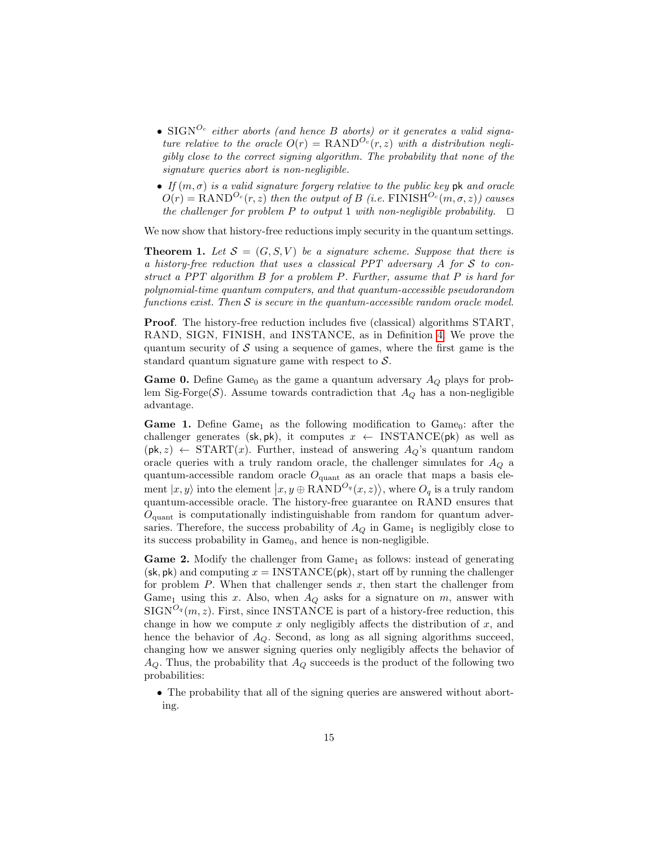- SIGN<sup>O<sub>c</sub></sup> either aborts (and hence B aborts) or it generates a valid signature relative to the oracle  $O(r) = \text{RAND}^{O_c}(r, z)$  with a distribution negligibly close to the correct signing algorithm. The probability that none of the signature queries abort is non-negligible.
- If  $(m, \sigma)$  is a valid signature forgery relative to the public key pk and oracle  $O(r) = \text{RAND}^{O_c}(r, z)$  then the output of B (i.e. FINISH<sup>O</sup>c(m,  $\sigma$ , z)) causes the challenger for problem P to output 1 with non-negligible probability.  $\square$

We now show that history-free reductions imply security in the quantum settings.

<span id="page-14-0"></span>**Theorem 1.** Let  $S = (G, S, V)$  be a signature scheme. Suppose that there is a history-free reduction that uses a classical PPT adversary A for S to construct a PPT algorithm B for a problem P. Further, assume that P is hard for polynomial-time quantum computers, and that quantum-accessible pseudorandom functions exist. Then  $S$  is secure in the quantum-accessible random oracle model.

Proof. The history-free reduction includes five (classical) algorithms START, RAND, SIGN, FINISH, and INSTANCE, as in Definition [4.](#page-13-0) We prove the quantum security of  $S$  using a sequence of games, where the first game is the standard quantum signature game with respect to  $S$ .

**Game 0.** Define Game<sub>0</sub> as the game a quantum adversary  $A_Q$  plays for problem Sig-Forge $(S)$ . Assume towards contradiction that  $A_Q$  has a non-negligible advantage.

**Game 1.** Define Game<sub>1</sub> as the following modification to Game<sub>0</sub>: after the challenger generates (sk, pk), it computes  $x \leftarrow \text{INSTANCE}(\text{pk})$  as well as  $(\mathsf{pk}, z) \leftarrow \text{START}(x)$ . Further, instead of answering  $A_Q$ 's quantum random oracle queries with a truly random oracle, the challenger simulates for  $A_Q$  a quantum-accessible random oracle  $O_{\text{quant}}$  as an oracle that maps a basis element  $|x, y\rangle$  into the element  $|x, y \oplus \text{RAND}^{O_q}(x, z)\rangle$ , where  $O_q$  is a truly random quantum-accessible oracle. The history-free guarantee on RAND ensures that  $O_{\text{quant}}$  is computationally indistinguishable from random for quantum adversaries. Therefore, the success probability of  $A_Q$  in Game<sub>1</sub> is negligibly close to its success probability in  $Game_0$ , and hence is non-negligible.

**Game 2.** Modify the challenger from  $Game_1$  as follows: instead of generating  $(\mathsf{sk}, \mathsf{pk})$  and computing  $x = \text{INSTANCE}(\mathsf{pk})$ , start off by running the challenger for problem  $P$ . When that challenger sends  $x$ , then start the challenger from Game<sub>1</sub> using this x. Also, when  $A_{\mathcal{Q}}$  asks for a signature on m, answer with  $\text{SIGN}^{O_q}(m, z)$ . First, since INSTANCE is part of a history-free reduction, this change in how we compute  $x$  only negligibly affects the distribution of  $x$ , and hence the behavior of  $A<sub>O</sub>$ . Second, as long as all signing algorithms succeed, changing how we answer signing queries only negligibly affects the behavior of  $A_Q$ . Thus, the probability that  $A_Q$  succeeds is the product of the following two probabilities:

• The probability that all of the signing queries are answered without aborting.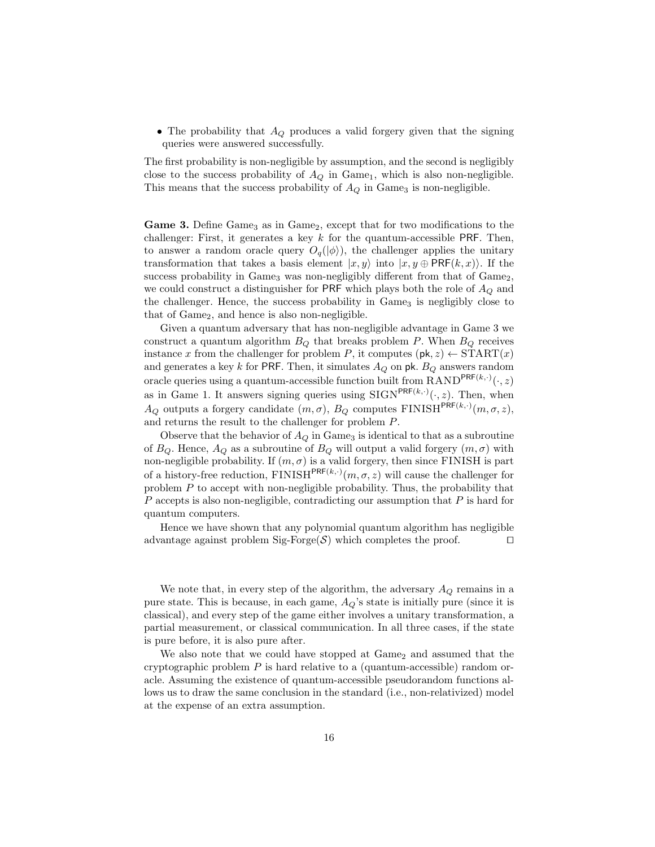• The probability that  $A_Q$  produces a valid forgery given that the signing queries were answered successfully.

The first probability is non-negligible by assumption, and the second is negligibly close to the success probability of  $A_Q$  in Game<sub>1</sub>, which is also non-negligible. This means that the success probability of  $A_Q$  in Game<sub>3</sub> is non-negligible.

**Game 3.** Define Game<sub>3</sub> as in Game<sub>2</sub>, except that for two modifications to the challenger: First, it generates a key  $k$  for the quantum-accessible PRF. Then, to answer a random oracle query  $O_q(|\phi\rangle)$ , the challenger applies the unitary transformation that takes a basis element  $|x, y\rangle$  into  $|x, y \oplus \text{PRF}(k, x)\rangle$ . If the success probability in Game<sub>3</sub> was non-negligibly different from that of  $Game<sub>2</sub>$ , we could construct a distinguisher for PRF which plays both the role of  $A_Q$  and the challenger. Hence, the success probability in  $Game_3$  is negligibly close to that of  $Game<sub>2</sub>$ , and hence is also non-negligible.

Given a quantum adversary that has non-negligible advantage in Game 3 we construct a quantum algorithm  $B_Q$  that breaks problem P. When  $B_Q$  receives instance x from the challenger for problem P, it computes  $(\mathsf{pk}, z) \leftarrow \text{START}(x)$ and generates a key k for PRF. Then, it simulates  $A_Q$  on pk.  $B_Q$  answers random oracle queries using a quantum-accessible function built from  $\text{RAND}^{\text{PRF}(k,\cdot)}(\cdot, z)$ as in Game 1. It answers signing queries using  $SIGN^{PRF(k,.)}(\cdot, z)$ . Then, when  $A_Q$  outputs a forgery candidate  $(m, \sigma)$ ,  $B_Q$  computes FINISH<sup>PRF(k,·)</sup> $(m, \sigma, z)$ , and returns the result to the challenger for problem P.

Observe that the behavior of  $A_{\mathcal{Q}}$  in Game<sub>3</sub> is identical to that as a subroutine of  $B_Q$ . Hence,  $A_Q$  as a subroutine of  $B_Q$  will output a valid forgery  $(m, \sigma)$  with non-negligible probability. If  $(m, \sigma)$  is a valid forgery, then since FINISH is part of a history-free reduction,  $\text{FINISH}^{\text{PRF}(k,\cdot)}(m, \sigma, z)$  will cause the challenger for problem  $P$  to accept with non-negligible probability. Thus, the probability that  $P$  accepts is also non-negligible, contradicting our assumption that  $P$  is hard for quantum computers.

Hence we have shown that any polynomial quantum algorithm has negligible advantage against problem Sig-Forge $(S)$  which completes the proof.  $\Box$ 

We note that, in every step of the algorithm, the adversary  $A_Q$  remains in a pure state. This is because, in each game,  $A_Q$ 's state is initially pure (since it is classical), and every step of the game either involves a unitary transformation, a partial measurement, or classical communication. In all three cases, if the state is pure before, it is also pure after.

We also note that we could have stopped at  $Game_2$  and assumed that the cryptographic problem  $P$  is hard relative to a (quantum-accessible) random oracle. Assuming the existence of quantum-accessible pseudorandom functions allows us to draw the same conclusion in the standard (i.e., non-relativized) model at the expense of an extra assumption.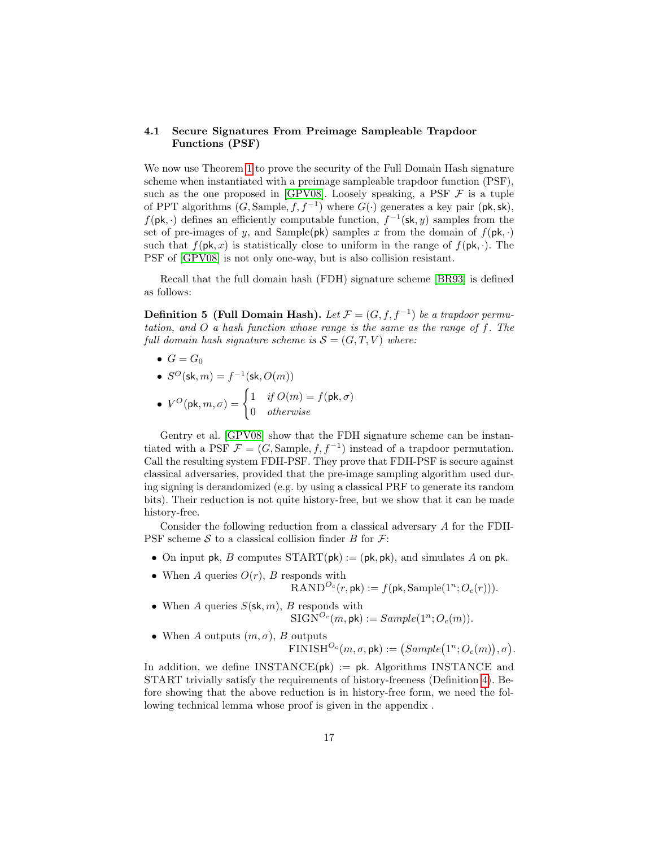### <span id="page-16-2"></span>4.1 Secure Signatures From Preimage Sampleable Trapdoor Functions (PSF)

We now use Theorem [1](#page-14-0) to prove the security of the Full Domain Hash signature scheme when instantiated with a preimage sampleable trapdoor function (PSF), such as the one proposed in [\[GPV08\]](#page-28-2). Loosely speaking, a PSF  $\mathcal F$  is a tuple of PPT algorithms  $(G, \text{Sample}, f, f^{-1})$  where  $G(\cdot)$  generates a key pair (pk, sk),  $f(\mathsf{pk}, \cdot)$  defines an efficiently computable function,  $f^{-1}(\mathsf{sk}, y)$  samples from the set of pre-images of y, and Sample(pk) samples x from the domain of  $f(\mathsf{pk}, \cdot)$ such that  $f(\mathsf{pk}, x)$  is statistically close to uniform in the range of  $f(\mathsf{pk}, \cdot)$ . The PSF of [\[GPV08\]](#page-28-2) is not only one-way, but is also collision resistant.

<span id="page-16-1"></span>Recall that the full domain hash (FDH) signature scheme [\[BR93\]](#page-27-0) is defined as follows:

**Definition 5** (Full Domain Hash). Let  $\mathcal{F} = (G, f, f^{-1})$  be a trapdoor permutation, and O a hash function whose range is the same as the range of f. The full domain hash signature scheme is  $S = (G, T, V)$  where:

- $G = G_0$
- $S^{O}(\textsf{sk}, m) = f^{-1}(\textsf{sk}, O(m))$
- $V^O(\mathsf{pk}, m, \sigma) = \begin{cases} 1 & \text{if } O(m) = f(\mathsf{pk}, \sigma) \\ 0 & \text{if } O(m) \end{cases}$ 0 otherwise

Gentry et al. [\[GPV08\]](#page-28-2) show that the FDH signature scheme can be instantiated with a PSF  $\mathcal{F} = (G, \text{Sample}, f, f^{-1})$  instead of a trapdoor permutation. Call the resulting system FDH-PSF. They prove that FDH-PSF is secure against classical adversaries, provided that the pre-image sampling algorithm used during signing is derandomized (e.g. by using a classical PRF to generate its random bits). Their reduction is not quite history-free, but we show that it can be made history-free.

Consider the following reduction from a classical adversary A for the FDH-PSF scheme S to a classical collision finder B for  $\mathcal{F}$ :

- On input pk, B computes  $\text{START}(\text{pk}) := (\text{pk}, \text{pk})$ , and simulates A on pk.
- When A queries  $O(r)$ , B responds with  $\text{RAND}^{O_c}(r, \textsf{pk}) := f(\textsf{pk}, \text{Sample}(1^n; O_c(r))).$
- When  $A$  queries  $S(\mathsf{sk}, m)$ ,  $B$  responds with  $\text{SIGN}^{O_c}(m, \textsf{pk}) := Sample(1^n; O_c(m)).$
- When A outputs  $(m, \sigma)$ , B outputs FINISH<sup>O<sub>c</sub></sup>(m,  $\sigma$ , pk) :=  $(Sample(1^n; O_c(m)), \sigma)$ .

<span id="page-16-0"></span>In addition, we define  $INSTANCE(pk) := pk$ . Algorithms INSTANCE and START trivially satisfy the requirements of history-freeness (Definition [4\)](#page-13-0). Before showing that the above reduction is in history-free form, we need the following technical lemma whose proof is given in the appendix .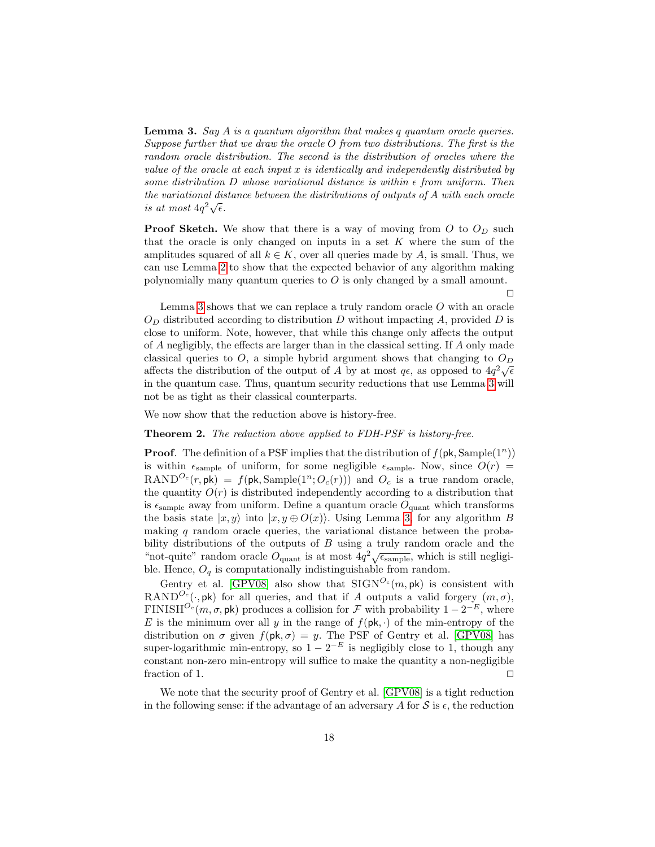**Lemma 3.** Say  $A$  is a quantum algorithm that makes q quantum oracle queries. Suppose further that we draw the oracle O from two distributions. The first is the random oracle distribution. The second is the distribution of oracles where the value of the oracle at each input  $x$  is identically and independently distributed by some distribution  $D$  whose variational distance is within  $\epsilon$  from uniform. Then the variational distance between the distributions of outputs of A with each oracle *is at most*  $4q^2\sqrt{\epsilon}$ .

**Proof Sketch.** We show that there is a way of moving from  $O$  to  $O_D$  such that the oracle is only changed on inputs in a set  $K$  where the sum of the amplitudes squared of all  $k \in K$ , over all queries made by A, is small. Thus, we can use Lemma [2](#page-6-0) to show that the expected behavior of any algorithm making polynomially many quantum queries to  $O$  is only changed by a small amount.

 $\Box$ 

Lemma [3](#page-16-0) shows that we can replace a truly random oracle O with an oracle  $O<sub>D</sub>$  distributed according to distribution D without impacting A, provided D is close to uniform. Note, however, that while this change only affects the output of A negligibly, the effects are larger than in the classical setting. If A only made classical queries to  $O$ , a simple hybrid argument shows that changing to  $O<sub>D</sub>$ classical queries to  $\sigma$ , a simple hybrid argument shows that changing to  $\sigma_D$  affects the distribution of the output of A by at most  $q\epsilon$ , as opposed to  $4q^2\sqrt{\epsilon}$ in the quantum case. Thus, quantum security reductions that use Lemma [3](#page-16-0) will not be as tight as their classical counterparts.

We now show that the reduction above is history-free.

<span id="page-17-0"></span>Theorem 2. The reduction above applied to FDH-PSF is history-free.

**Proof.** The definition of a PSF implies that the distribution of  $f(\mathsf{pk}, \text{Sample}(1^n))$ is within  $\epsilon_{\text{sample}}$  of uniform, for some negligible  $\epsilon_{\text{sample}}$ . Now, since  $O(r)$  = RAND<sup>O<sub>c</sub></sup>(*r*, pk) =  $f$ (pk, Sample(1<sup>n</sup>; O<sub>c</sub>(*r*))) and O<sub>c</sub> is a true random oracle, the quantity  $O(r)$  is distributed independently according to a distribution that is  $\epsilon_{\text{sample}}$  away from uniform. Define a quantum oracle  $O_{\text{quant}}$  which transforms the basis state  $|x, y\rangle$  into  $|x, y \oplus O(x)\rangle$ . Using Lemma [3,](#page-16-0) for any algorithm B making q random oracle queries, the variational distance between the probability distributions of the outputs of  $B$  using a truly random oracle and the "not-quite" random oracle  $O_{\text{quant}}$  is at most  $4q^2\sqrt{\epsilon_{\text{sample}}}$ , which is still negligible. Hence,  $O_q$  is computationally indistinguishable from random.

Gentry et al. [\[GPV08\]](#page-28-2) also show that  $\text{SIGN}^{O_c}(m, \text{pk})$  is consistent with RAND<sup>O<sub>c</sub></sup>( $\cdot$ , pk) for all queries, and that if A outputs a valid forgery  $(m, \sigma)$ , FINISH<sup>O<sub>c</sub>(m,  $\sigma$ , pk) produces a collision for F with probability  $1 - 2^{-E}$ , where</sup> E is the minimum over all y in the range of  $f(\mathsf{pk}, \cdot)$  of the min-entropy of the distribution on  $\sigma$  given  $f(\mathsf{pk}, \sigma) = y$ . The PSF of Gentry et al. [\[GPV08\]](#page-28-2) has super-logarithmic min-entropy, so  $1 - 2^{-E}$  is negligibly close to 1, though any constant non-zero min-entropy will suffice to make the quantity a non-negligible fraction of 1.  $\Box$ 

We note that the security proof of Gentry et al. [\[GPV08\]](#page-28-2) is a tight reduction in the following sense: if the advantage of an adversary A for  $S$  is  $\epsilon$ , the reduction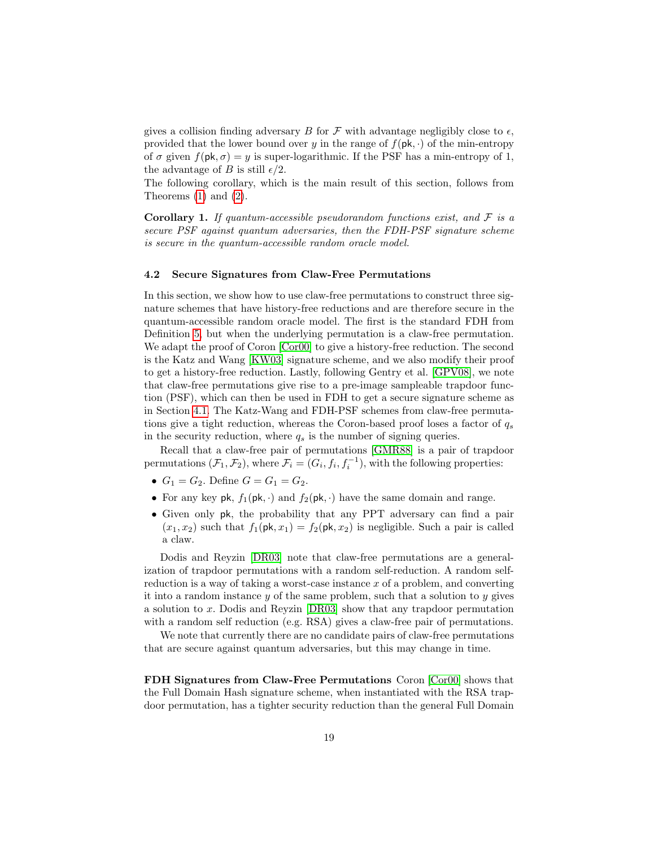gives a collision finding adversary B for F with advantage negligibly close to  $\epsilon$ , provided that the lower bound over y in the range of  $f(\mathsf{pk}, \cdot)$  of the min-entropy of  $\sigma$  given  $f(\mathsf{pk}, \sigma) = y$  is super-logarithmic. If the PSF has a min-entropy of 1, the advantage of B is still  $\epsilon/2$ .

The following corollary, which is the main result of this section, follows from Theorems [\(1\)](#page-14-0) and [\(2\)](#page-17-0).

<span id="page-18-0"></span>Corollary 1. If quantum-accessible pseudorandom functions exist, and  $F$  is a secure PSF against quantum adversaries, then the FDH-PSF signature scheme is secure in the quantum-accessible random oracle model.

#### 4.2 Secure Signatures from Claw-Free Permutations

In this section, we show how to use claw-free permutations to construct three signature schemes that have history-free reductions and are therefore secure in the quantum-accessible random oracle model. The first is the standard FDH from Definition [5,](#page-16-1) but when the underlying permutation is a claw-free permutation. We adapt the proof of Coron [\[Cor00\]](#page-27-9) to give a history-free reduction. The second is the Katz and Wang [\[KW03\]](#page-28-8) signature scheme, and we also modify their proof to get a history-free reduction. Lastly, following Gentry et al. [\[GPV08\]](#page-28-2), we note that claw-free permutations give rise to a pre-image sampleable trapdoor function (PSF), which can then be used in FDH to get a secure signature scheme as in Section [4.1.](#page-16-2) The Katz-Wang and FDH-PSF schemes from claw-free permutations give a tight reduction, whereas the Coron-based proof loses a factor of  $q_s$ in the security reduction, where  $q_s$  is the number of signing queries.

Recall that a claw-free pair of permutations [\[GMR88\]](#page-28-15) is a pair of trapdoor permutations  $(\mathcal{F}_1, \mathcal{F}_2)$ , where  $\mathcal{F}_i = (G_i, f_i, f_i^{-1})$ , with the following properties:

- $G_1 = G_2$ . Define  $G = G_1 = G_2$ .
- For any key pk,  $f_1(\mathsf{pk}, \cdot)$  and  $f_2(\mathsf{pk}, \cdot)$  have the same domain and range.
- Given only pk, the probability that any PPT adversary can find a pair  $(x_1, x_2)$  such that  $f_1(\mathsf{pk}, x_1) = f_2(\mathsf{pk}, x_2)$  is negligible. Such a pair is called a claw.

Dodis and Reyzin [\[DR03\]](#page-27-16) note that claw-free permutations are a generalization of trapdoor permutations with a random self-reduction. A random selfreduction is a way of taking a worst-case instance x of a problem, and converting it into a random instance  $y$  of the same problem, such that a solution to  $y$  gives a solution to x. Dodis and Reyzin [\[DR03\]](#page-27-16) show that any trapdoor permutation with a random self reduction (e.g. RSA) gives a claw-free pair of permutations.

We note that currently there are no candidate pairs of claw-free permutations that are secure against quantum adversaries, but this may change in time.

FDH Signatures from Claw-Free Permutations Coron [\[Cor00\]](#page-27-9) shows that the Full Domain Hash signature scheme, when instantiated with the RSA trapdoor permutation, has a tighter security reduction than the general Full Domain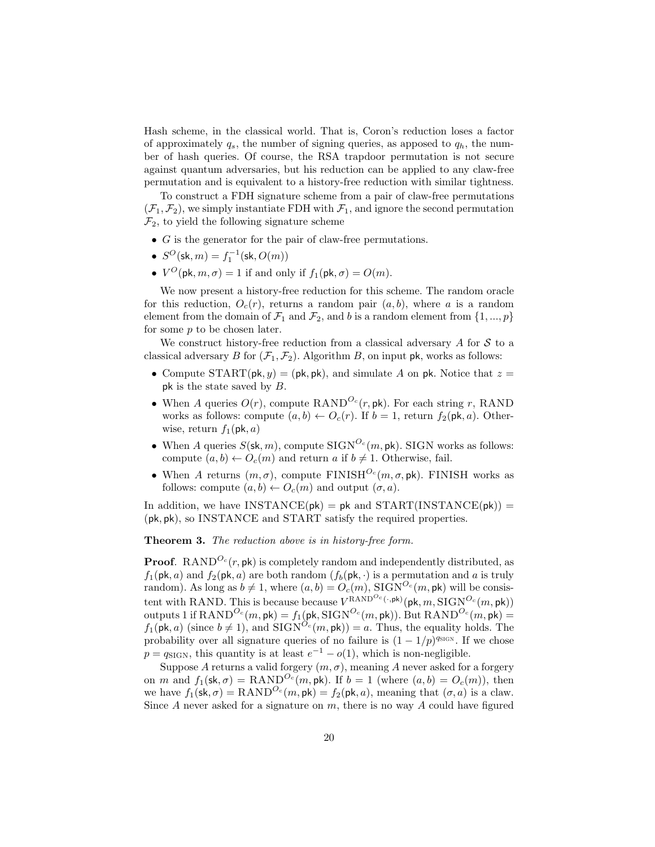Hash scheme, in the classical world. That is, Coron's reduction loses a factor of approximately  $q_s$ , the number of signing queries, as apposed to  $q_h$ , the number of hash queries. Of course, the RSA trapdoor permutation is not secure against quantum adversaries, but his reduction can be applied to any claw-free permutation and is equivalent to a history-free reduction with similar tightness.

To construct a FDH signature scheme from a pair of claw-free permutations  $(\mathcal{F}_1, \mathcal{F}_2)$ , we simply instantiate FDH with  $\mathcal{F}_1$ , and ignore the second permutation  $\mathcal{F}_2$ , to yield the following signature scheme

- $\bullet$  G is the generator for the pair of claw-free permutations.
- $S^{O}(\textsf{sk}, m) = f_{1}^{-1}(\textsf{sk}, O(m))$
- $V^O(\mathsf{pk}, m, \sigma) = 1$  if and only if  $f_1(\mathsf{pk}, \sigma) = O(m)$ .

We now present a history-free reduction for this scheme. The random oracle for this reduction,  $O_c(r)$ , returns a random pair  $(a, b)$ , where a is a random element from the domain of  $\mathcal{F}_1$  and  $\mathcal{F}_2$ , and b is a random element from  $\{1, ..., p\}$ for some  $p$  to be chosen later.

We construct history-free reduction from a classical adversary  $A$  for  $S$  to a classical adversary B for  $(\mathcal{F}_1, \mathcal{F}_2)$ . Algorithm B, on input pk, works as follows:

- Compute START(pk, y) = (pk, pk), and simulate A on pk. Notice that  $z =$ pk is the state saved by B.
- When A queries  $O(r)$ , compute RAND<sup> $O_c(r, \text{pk})$ </sup>. For each string r, RAND works as follows: compute  $(a, b) \leftarrow O_c(r)$ . If  $b = 1$ , return  $f_2(\mathsf{pk}, a)$ . Otherwise, return  $f_1(\mathsf{pk}, a)$
- When A queries  $S(\mathsf{sk}, m)$ , compute  $\text{SIGN}^{O_c}(m, \mathsf{pk})$ . SIGN works as follows: compute  $(a, b) \leftarrow O_c(m)$  and return a if  $b \neq 1$ . Otherwise, fail.
- When A returns  $(m, \sigma)$ , compute FINISH<sup>O<sub>c</sub></sup> $(m, \sigma, \mathsf{pk})$ . FINISH works as follows: compute  $(a, b) \leftarrow O_c(m)$  and output  $(\sigma, a)$ .

In addition, we have INSTANCE(pk) = pk and  $START(INSTANCE(pk))$  = (pk, pk), so INSTANCE and START satisfy the required properties.

Theorem 3. The reduction above is in history-free form.

**Proof.** RAND<sup>O<sub>c</sub></sup> $(r, \mathsf{pk})$  is completely random and independently distributed, as  $f_1(\mathsf{pk}, a)$  and  $f_2(\mathsf{pk}, a)$  are both random  $(f_b(\mathsf{pk}, \cdot))$  is a permutation and a is truly random). As long as  $b \neq 1$ , where  $(a, b) = O_c(m)$ , SIGN<sup>O<sub>c</sub></sup>(m, pk) will be consistent with RAND. This is because because  $V^{\text{RAND}^{O_c}(\cdot, \text{pk})}(\text{pk}, m, \text{SIGN}^{O_c}(m, \text{pk}))$ outputs 1 if  $\text{RAND}^{O_c}(m, \textsf{pk}) = f_1(\textsf{pk}, \text{SIGN}^{O_c}(m, \textsf{pk})).$  But  $\text{RAND}^{O_c}(m, \textsf{pk}) =$  $f_1(\mathsf{pk}, a)$  (since  $b \neq 1$ ), and  $\text{SIGN}^{O_c}(m, \mathsf{pk}) = a$ . Thus, the equality holds. The probability over all signature queries of no failure is  $(1 - 1/p)^{q_{\text{SIGN}}}$ . If we chose  $p = q_{\text{SIGN}}$ , this quantity is at least  $e^{-1} - o(1)$ , which is non-negligible.

Suppose A returns a valid forgery  $(m, \sigma)$ , meaning A never asked for a forgery on m and  $f_1(\mathsf{sk}, \sigma) = \text{RAND}^{O_c}(m, \mathsf{pk})$ . If  $b = 1$  (where  $(a, b) = O_c(m)$ ), then we have  $f_1(\mathsf{sk}, \sigma) = \text{RAND}^{O_c}(m, \mathsf{pk}) = f_2(\mathsf{pk}, a)$ , meaning that  $(\sigma, a)$  is a claw. Since A never asked for a signature on  $m$ , there is no way A could have figured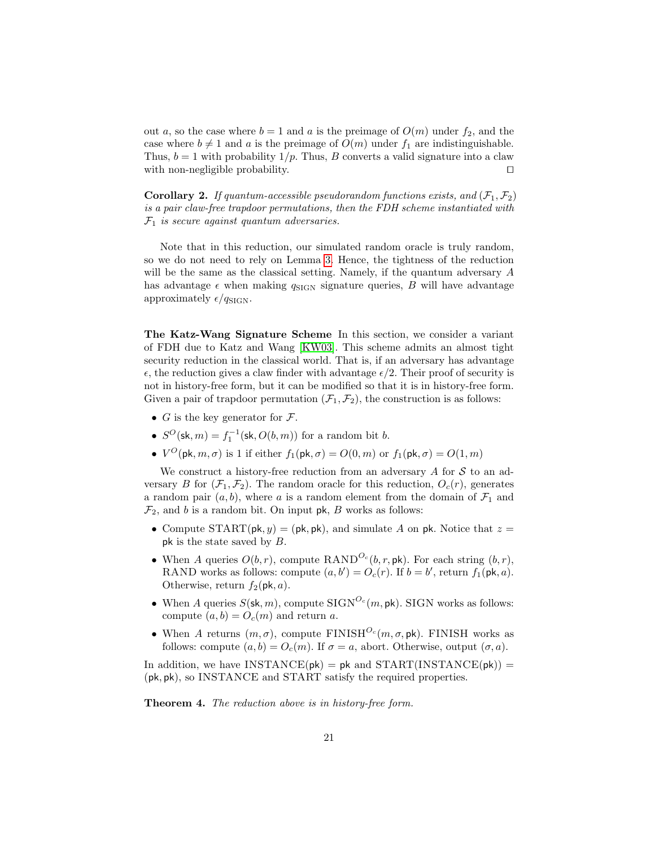out a, so the case where  $b = 1$  and a is the preimage of  $O(m)$  under  $f_2$ , and the case where  $b \neq 1$  and a is the preimage of  $O(m)$  under  $f_1$  are indistinguishable. Thus,  $b = 1$  with probability  $1/p$ . Thus, B converts a valid signature into a claw with non-negligible probability.  $\Box$ 

**Corollary 2.** If quantum-accessible pseudorandom functions exists, and  $(\mathcal{F}_1, \mathcal{F}_2)$ is a pair claw-free trapdoor permutations, then the FDH scheme instantiated with  $\mathcal{F}_1$  is secure against quantum adversaries.

Note that in this reduction, our simulated random oracle is truly random, so we do not need to rely on Lemma [3.](#page-16-0) Hence, the tightness of the reduction will be the same as the classical setting. Namely, if the quantum adversary A has advantage  $\epsilon$  when making  $q_{\text{SIGN}}$  signature queries, B will have advantage approximately  $\epsilon / q_{\text{SIGN}}$ .

The Katz-Wang Signature Scheme In this section, we consider a variant of FDH due to Katz and Wang [\[KW03\]](#page-28-8). This scheme admits an almost tight security reduction in the classical world. That is, if an adversary has advantage  $\epsilon$ , the reduction gives a claw finder with advantage  $\epsilon/2$ . Their proof of security is not in history-free form, but it can be modified so that it is in history-free form. Given a pair of trapdoor permutation  $(\mathcal{F}_1, \mathcal{F}_2)$ , the construction is as follows:

- G is the key generator for  $\mathcal{F}.$
- $S^{O}(\mathsf{sk}, m) = f_1^{-1}(\mathsf{sk}, O(b, m))$  for a random bit b.
- $V^O(\mathsf{pk}, m, \sigma)$  is 1 if either  $f_1(\mathsf{pk}, \sigma) = O(0, m)$  or  $f_1(\mathsf{pk}, \sigma) = O(1, m)$

We construct a history-free reduction from an adversary  $A$  for  $S$  to an adversary B for  $(\mathcal{F}_1, \mathcal{F}_2)$ . The random oracle for this reduction,  $O_c(r)$ , generates a random pair  $(a, b)$ , where a is a random element from the domain of  $\mathcal{F}_1$  and  $\mathcal{F}_2$ , and b is a random bit. On input pk, B works as follows:

- Compute START(pk,  $y$ ) = (pk, pk), and simulate A on pk. Notice that  $z =$ pk is the state saved by B.
- When A queries  $O(b, r)$ , compute RAND<sup> $O_c(b, r, \mathsf{pk})$ . For each string  $(b, r)$ ,</sup> RAND works as follows: compute  $(a, b') = O_c(r)$ . If  $b = b'$ , return  $f_1(\mathsf{pk}, a)$ . Otherwise, return  $f_2(\mathsf{pk}, a)$ .
- When A queries  $S(\mathsf{sk}, m)$ , compute  $\text{SIGN}^{O_c}(m, \mathsf{pk})$ . SIGN works as follows: compute  $(a, b) = O<sub>c</sub>(m)$  and return a.
- When A returns  $(m, \sigma)$ , compute FINISH<sup>O<sub>c</sub></sup> $(m, \sigma, \mathsf{pk})$ . FINISH works as follows: compute  $(a, b) = O_c(m)$ . If  $\sigma = a$ , abort. Otherwise, output  $(\sigma, a)$ .

In addition, we have INSTANCE(pk) = pk and  $START(INSTATE(pk))$  = (pk, pk), so INSTANCE and START satisfy the required properties.

Theorem 4. The reduction above is in history-free form.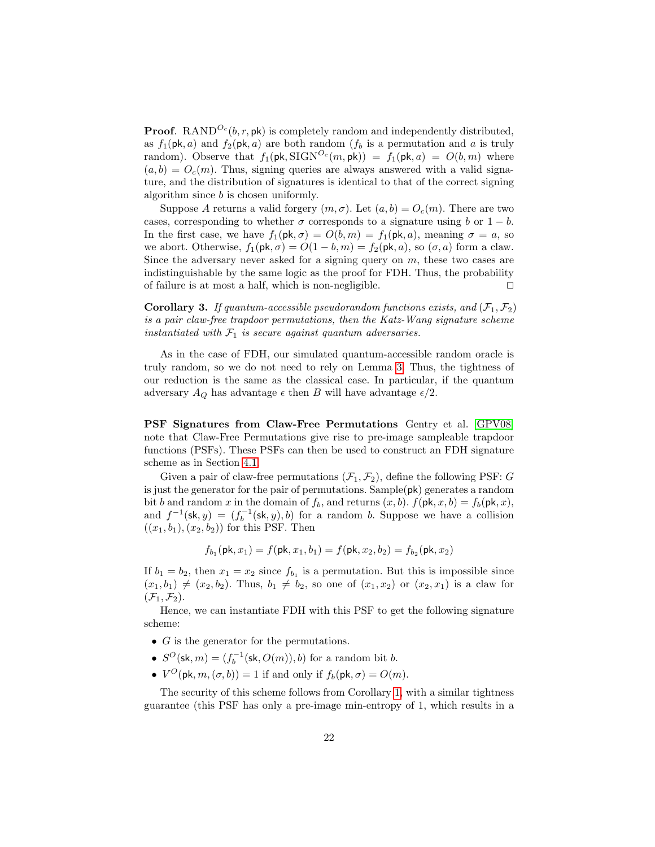**Proof.** RAND<sup> $O_c(b, r, \mathsf{pk})$  is completely random and independently distributed,</sup> as  $f_1(\mathsf{pk}, a)$  and  $f_2(\mathsf{pk}, a)$  are both random ( $f_b$  is a permutation and a is truly random). Observe that  $f_1(\mathsf{pk}, \text{SIGN}^{O_c}(m, \mathsf{pk})) = f_1(\mathsf{pk}, a) = O(b, m)$  where  $(a, b) = O<sub>c</sub>(m)$ . Thus, signing queries are always answered with a valid signature, and the distribution of signatures is identical to that of the correct signing algorithm since b is chosen uniformly.

Suppose A returns a valid forgery  $(m, \sigma)$ . Let  $(a, b) = O<sub>c</sub>(m)$ . There are two cases, corresponding to whether  $\sigma$  corresponds to a signature using b or  $1 - b$ . In the first case, we have  $f_1(\mathsf{pk}, \sigma) = O(b, m) = f_1(\mathsf{pk}, a)$ , meaning  $\sigma = a$ , so we abort. Otherwise,  $f_1(\mathsf{pk}, \sigma) = O(1 - b, m) = f_2(\mathsf{pk}, a)$ , so  $(\sigma, a)$  form a claw. Since the adversary never asked for a signing query on  $m$ , these two cases are indistinguishable by the same logic as the proof for FDH. Thus, the probability of failure is at most a half, which is non-negligible.  $\Box$ 

**Corollary 3.** If quantum-accessible pseudorandom functions exists, and  $(\mathcal{F}_1, \mathcal{F}_2)$ is a pair claw-free trapdoor permutations, then the Katz-Wang signature scheme instantiated with  $\mathcal{F}_1$  is secure against quantum adversaries.

As in the case of FDH, our simulated quantum-accessible random oracle is truly random, so we do not need to rely on Lemma [3.](#page-16-0) Thus, the tightness of our reduction is the same as the classical case. In particular, if the quantum adversary  $A_Q$  has advantage  $\epsilon$  then B will have advantage  $\epsilon/2$ .

PSF Signatures from Claw-Free Permutations Gentry et al. [\[GPV08\]](#page-28-2) note that Claw-Free Permutations give rise to pre-image sampleable trapdoor functions (PSFs). These PSFs can then be used to construct an FDH signature scheme as in Section [4.1.](#page-16-2)

Given a pair of claw-free permutations  $(\mathcal{F}_1, \mathcal{F}_2)$ , define the following PSF: G is just the generator for the pair of permutations. Sample(pk) generates a random bit b and random x in the domain of  $f_b$ , and returns  $(x, b)$ .  $f(\mathsf{pk}, x, b) = f_b(\mathsf{pk}, x)$ , and  $f^{-1}$ (sk, y) =  $(f_b^{-1}$ (sk, y), b) for a random b. Suppose we have a collision  $((x_1, b_1), (x_2, b_2))$  for this PSF. Then

$$
f_{b_1}(\mathsf{pk}, x_1) = f(\mathsf{pk}, x_1, b_1) = f(\mathsf{pk}, x_2, b_2) = f_{b_2}(\mathsf{pk}, x_2)
$$

If  $b_1 = b_2$ , then  $x_1 = x_2$  since  $f_{b_1}$  is a permutation. But this is impossible since  $(x_1, b_1) \neq (x_2, b_2)$ . Thus,  $b_1 \neq b_2$ , so one of  $(x_1, x_2)$  or  $(x_2, x_1)$  is a claw for  $(\mathcal{F}_1, \mathcal{F}_2).$ 

Hence, we can instantiate FDH with this PSF to get the following signature scheme:

- $G$  is the generator for the permutations.
- $S^O(\mathsf{sk}, m) = (f_b^{-1}(\mathsf{sk}, O(m)), b)$  for a random bit b.
- $V^O(\mathsf{pk}, m, (\sigma, b)) = 1$  if and only if  $f_b(\mathsf{pk}, \sigma) = O(m)$ .

The security of this scheme follows from Corollary [1,](#page-18-0) with a similar tightness guarantee (this PSF has only a pre-image min-entropy of 1, which results in a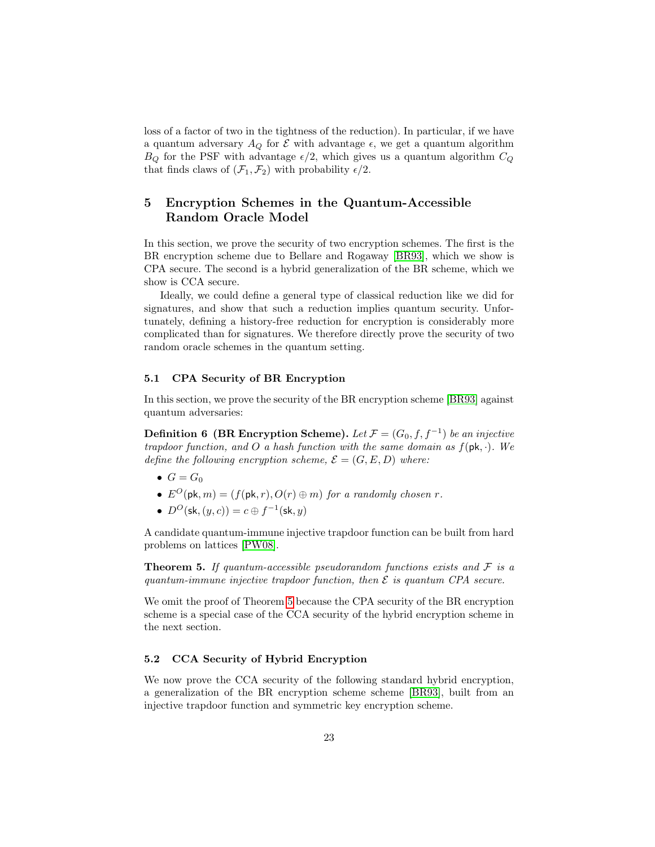loss of a factor of two in the tightness of the reduction). In particular, if we have a quantum adversary  $A_Q$  for  $\mathcal E$  with advantage  $\epsilon$ , we get a quantum algorithm  $B_Q$  for the PSF with advantage  $\epsilon/2$ , which gives us a quantum algorithm  $C_Q$ that finds claws of  $(\mathcal{F}_1, \mathcal{F}_2)$  with probability  $\epsilon/2$ .

## 5 Encryption Schemes in the Quantum-Accessible Random Oracle Model

In this section, we prove the security of two encryption schemes. The first is the BR encryption scheme due to Bellare and Rogaway [\[BR93\]](#page-27-0), which we show is CPA secure. The second is a hybrid generalization of the BR scheme, which we show is CCA secure.

Ideally, we could define a general type of classical reduction like we did for signatures, and show that such a reduction implies quantum security. Unfortunately, defining a history-free reduction for encryption is considerably more complicated than for signatures. We therefore directly prove the security of two random oracle schemes in the quantum setting.

#### 5.1 CPA Security of BR Encryption

In this section, we prove the security of the BR encryption scheme [\[BR93\]](#page-27-0) against quantum adversaries:

**Definition 6** (BR Encryption Scheme). Let  $\mathcal{F} = (G_0, f, f^{-1})$  be an injective trapdoor function, and O a hash function with the same domain as  $f(\mathsf{pk}, \cdot)$ . We define the following encryption scheme,  $\mathcal{E} = (G, E, D)$  where:

- $G = G_0$
- $E^{O}(\mathsf{pk}, m) = (f(\mathsf{pk}, r), O(r) \oplus m)$  for a randomly chosen r.
- $D^O(\mathsf{sk}, (y, c)) = c \oplus f^{-1}(\mathsf{sk}, y)$

A candidate quantum-immune injective trapdoor function can be built from hard problems on lattices [\[PW08\]](#page-28-16).

<span id="page-22-0"></span>**Theorem 5.** If quantum-accessible pseudorandom functions exists and  $\mathcal F$  is a quantum-immune injective trapdoor function, then  $\mathcal E$  is quantum CPA secure.

We omit the proof of Theorem [5](#page-22-0) because the CPA security of the BR encryption scheme is a special case of the CCA security of the hybrid encryption scheme in the next section.

### 5.2 CCA Security of Hybrid Encryption

We now prove the CCA security of the following standard hybrid encryption, a generalization of the BR encryption scheme scheme [\[BR93\]](#page-27-0), built from an injective trapdoor function and symmetric key encryption scheme.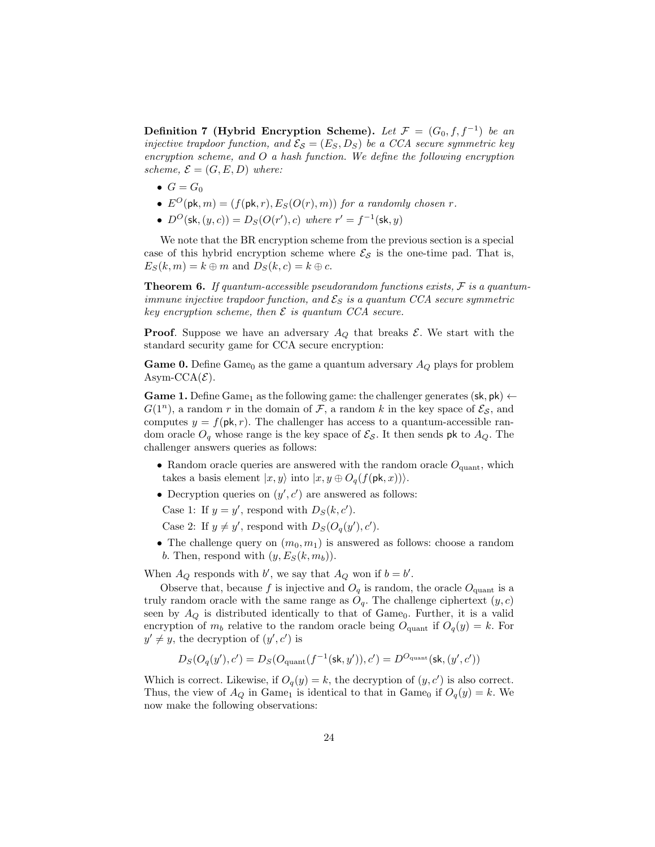Definition 7 (Hybrid Encryption Scheme). Let  $\mathcal{F} = (G_0, f, f^{-1})$  be an injective trapdoor function, and  $\mathcal{E}_{\mathcal{S}} = (E_{\mathcal{S}}, D_{\mathcal{S}})$  be a CCA secure symmetric key encryption scheme, and O a hash function. We define the following encryption scheme,  $\mathcal{E} = (G, E, D)$  where:

- $G = G_0$
- $E^{O}(\mathsf{pk}, m) = (f(\mathsf{pk}, r), E_{S}(O(r), m))$  for a randomly chosen r.
- $D^{O}(\mathsf{sk}, (y, c)) = D_{S}(O(r'), c)$  where  $r' = f^{-1}(\mathsf{sk}, y)$

We note that the BR encryption scheme from the previous section is a special case of this hybrid encryption scheme where  $\mathcal{E}_{\mathcal{S}}$  is the one-time pad. That is,  $E_S(k, m) = k \oplus m$  and  $D_S(k, c) = k \oplus c$ .

<span id="page-23-0"></span>**Theorem 6.** If quantum-accessible pseudorandom functions exists,  $\mathcal{F}$  is a quantumimmune injective trapdoor function, and  $\mathcal{E}_S$  is a quantum CCA secure symmetric key encryption scheme, then  $\mathcal E$  is quantum CCA secure.

**Proof.** Suppose we have an adversary  $A_Q$  that breaks  $\mathcal{E}$ . We start with the standard security game for CCA secure encryption:

**Game 0.** Define Game<sub>0</sub> as the game a quantum adversary  $A_Q$  plays for problem Asym-CCA $(\mathcal{E})$ .

**Game 1.** Define Game<sub>1</sub> as the following game: the challenger generates (sk, pk)  $\leftarrow$  $G(1^n)$ , a random r in the domain of F, a random k in the key space of  $\mathcal{E}_{\mathcal{S}}$ , and computes  $y = f(\mathsf{pk}, r)$ . The challenger has access to a quantum-accessible random oracle  $O_q$  whose range is the key space of  $\mathcal{E}_{\mathcal{S}}$ . It then sends pk to  $A_Q$ . The challenger answers queries as follows:

- Random oracle queries are answered with the random oracle  $O_{\text{quant}}$ , which takes a basis element  $|x, y\rangle$  into  $|x, y \oplus O_q(f(\mathsf{pk}, x))\rangle$ .
- Decryption queries on  $(y', c')$  are answered as follows:

Case 1: If  $y = y'$ , respond with  $D_S(k, c')$ .

Case 2: If  $y \neq y'$ , respond with  $D_S(O_q(y'), c')$ .

• The challenge query on  $(m_0, m_1)$  is answered as follows: choose a random b. Then, respond with  $(y, E_S(k, m_b))$ .

When  $A_Q$  responds with b', we say that  $A_Q$  won if  $b = b'$ .

Observe that, because f is injective and  $O_q$  is random, the oracle  $O_{\text{quant}}$  is a truly random oracle with the same range as  $O_q$ . The challenge ciphertext  $(y, c)$ seen by  $A_Q$  is distributed identically to that of Game<sub>0</sub>. Further, it is a valid encryption of  $m_b$  relative to the random oracle being  $O_{\text{quant}}$  if  $O_q(y) = k$ . For  $y' \neq y$ , the decryption of  $(y', c')$  is

$$
D_S(O_q(y'),c')=D_S(O_{\rm quant}(f^{-1}({\rm sk},y')),c')=D^{O_{\rm quant}}({\rm sk},(y',c'))
$$

Which is correct. Likewise, if  $O_q(y) = k$ , the decryption of  $(y, c')$  is also correct. Thus, the view of  $A_Q$  in Game<sub>1</sub> is identical to that in Game<sub>0</sub> if  $O_q(y) = k$ . We now make the following observations: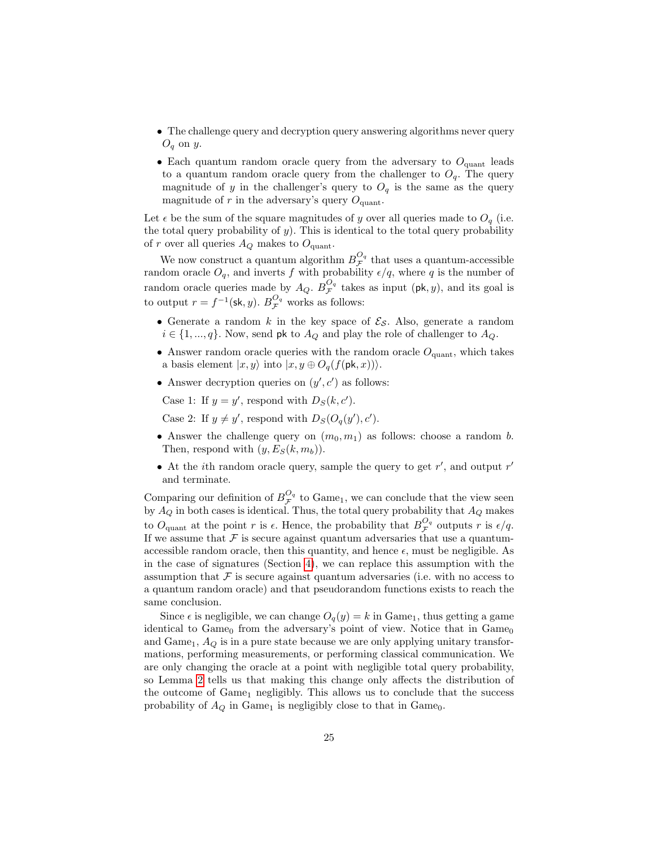- The challenge query and decryption query answering algorithms never query  $O_q$  on y.
- Each quantum random oracle query from the adversary to  $O_{\text{quant}}$  leads to a quantum random oracle query from the challenger to  $O_q$ . The query magnitude of y in the challenger's query to  $O_q$  is the same as the query magnitude of r in the adversary's query  $O_{\text{quant}}$ .

Let  $\epsilon$  be the sum of the square magnitudes of y over all queries made to  $O_q$  (i.e. the total query probability of  $y$ ). This is identical to the total query probability of r over all queries  $A_Q$  makes to  $O_{\text{quant}}$ .

We now construct a quantum algorithm  $B_{\mathcal{F}}^{O_q}$  that uses a quantum-accessible random oracle  $O_q$ , and inverts f with probability  $\epsilon/q$ , where q is the number of random oracle queries made by  $A_Q$ .  $B_{\mathcal{F}}^{O_q}$  takes as input (pk, y), and its goal is to output  $r = f^{-1}(\mathsf{sk}, y)$ .  $B_{\mathcal{F}}^{O_q}$  works as follows:

- Generate a random k in the key space of  $\mathcal{E}_{\mathcal{S}}$ . Also, generate a random  $i \in \{1, ..., q\}$ . Now, send pk to  $A_Q$  and play the role of challenger to  $A_Q$ .
- Answer random oracle queries with the random oracle  $O_{\text{quant}}$ , which takes a basis element  $|x, y\rangle$  into  $|x, y \oplus O_q(f(\mathsf{pk}, x))\rangle$ .
- Answer decryption queries on  $(y', c')$  as follows:
- Case 1: If  $y = y'$ , respond with  $D_S(k, c')$ .
- Case 2: If  $y \neq y'$ , respond with  $D_S(O_q(y'), c')$ .
- Answer the challenge query on  $(m_0, m_1)$  as follows: choose a random b. Then, respond with  $(y, E<sub>S</sub>(k, m<sub>b</sub>)).$
- At the *i*th random oracle query, sample the query to get  $r'$ , and output  $r'$ and terminate.

Comparing our definition of  $B_{\mathcal{F}}^{\mathcal{O}_q}$  to Game<sub>1</sub>, we can conclude that the view seen by  $A_Q$  in both cases is identical. Thus, the total query probability that  $A_Q$  makes to  $O_{\text{quant}}$  at the point r is  $\epsilon$ . Hence, the probability that  $B_{\mathcal{F}}^{O_q}$  outputs r is  $\epsilon/q$ . If we assume that  $\mathcal F$  is secure against quantum adversaries that use a quantumaccessible random oracle, then this quantity, and hence  $\epsilon$ , must be negligible. As in the case of signatures (Section [4\)](#page-13-1), we can replace this assumption with the assumption that  $\mathcal F$  is secure against quantum adversaries (i.e. with no access to a quantum random oracle) and that pseudorandom functions exists to reach the same conclusion.

Since  $\epsilon$  is negligible, we can change  $O_q(y) = k$  in Game<sub>1</sub>, thus getting a game identical to  $Game_0$  from the adversary's point of view. Notice that in  $Game_0$ and Game<sub>1</sub>,  $A_{\mathcal{Q}}$  is in a pure state because we are only applying unitary transformations, performing measurements, or performing classical communication. We are only changing the oracle at a point with negligible total query probability, so Lemma [2](#page-6-0) tells us that making this change only affects the distribution of the outcome of  $Game<sub>1</sub>$  negligibly. This allows us to conclude that the success probability of  $A_Q$  in Game<sub>1</sub> is negligibly close to that in Game<sub>0</sub>.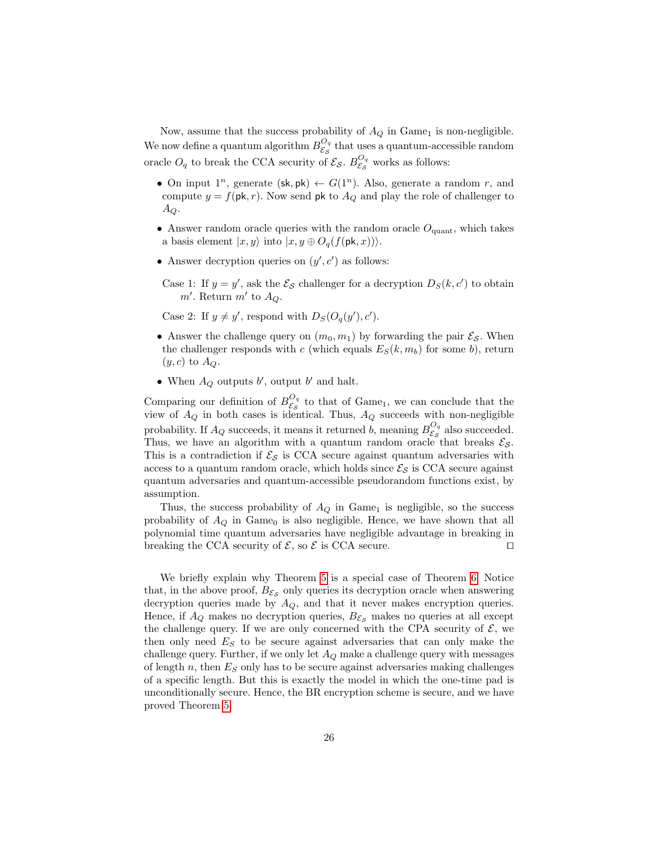Now, assume that the success probability of  $A_Q$  in Game<sub>1</sub> is non-negligible. We now define a quantum algorithm  $B_{\varepsilon_{\varepsilon}}^{O_q}$  $\mathcal{E}_{\mathcal{E}_{\mathcal{S}}}^{\mathcal{O}_q}$  that uses a quantum-accessible random oracle  $O_q$  to break the CCA security of  $\mathcal{E}_{\mathcal{S}}$ .  $B_{\mathcal{E}_{\mathcal{S}}}^{O_q}$  $\mathcal{E}_{\mathcal{E}_{\mathcal{S}}}^{\mathcal{O}_q}$  works as follows:

- On input  $1^n$ , generate  $(\mathsf{sk}, \mathsf{pk}) \leftarrow G(1^n)$ . Also, generate a random r, and compute  $y = f(\mathsf{pk}, r)$ . Now send  $\mathsf{pk}$  to  $A_Q$  and play the role of challenger to  $A_Q$ .
- Answer random oracle queries with the random oracle  $O_{\text{quant}}$ , which takes a basis element  $|x, y\rangle$  into  $|x, y \oplus O_q(f(\mathsf{pk}, x))\rangle$ .
- Answer decryption queries on  $(y', c')$  as follows:
- Case 1: If  $y = y'$ , ask the  $\mathcal{E}_{\mathcal{S}}$  challenger for a decryption  $D_{\mathcal{S}}(k, c')$  to obtain  $m'$ . Return  $m'$  to  $A_Q$ .

Case 2: If  $y \neq y'$ , respond with  $D_S(O_q(y'), c')$ .

- Answer the challenge query on  $(m_0, m_1)$  by forwarding the pair  $\mathcal{E}_{\mathcal{S}}$ . When the challenger responds with c (which equals  $E_S(k, m_b)$  for some b), return  $(y, c)$  to  $A_O$ .
- When  $A_Q$  outputs  $b'$ , output  $b'$  and halt.

Comparing our definition of  $B_{\varepsilon_{\varepsilon}}^{O_q}$  $\mathcal{E}_{\mathcal{E}_{\mathcal{S}}}^{\mathcal{O}_q}$  to that of Game<sub>1</sub>, we can conclude that the view of  $A_Q$  in both cases is identical. Thus,  $A_Q$  succeeds with non-negligible probability. If  $A_Q$  succeeds, it means it returned b, meaning  $B_{\mathcal{E}_S}^{O_q}$  $\mathcal{E}_{\mathcal{E}_{\mathcal{S}}}^{\mathcal{O}_q}$  also succeeded. Thus, we have an algorithm with a quantum random oracle that breaks  $\mathcal{E}_{\mathcal{S}}$ . This is a contradiction if  $\mathcal{E}_{\mathcal{S}}$  is CCA secure against quantum adversaries with access to a quantum random oracle, which holds since  $\mathcal{E}_{\mathcal{S}}$  is CCA secure against quantum adversaries and quantum-accessible pseudorandom functions exist, by assumption.

Thus, the success probability of  $A_Q$  in Game<sub>1</sub> is negligible, so the success probability of  $A_Q$  in Game<sub>0</sub> is also negligible. Hence, we have shown that all polynomial time quantum adversaries have negligible advantage in breaking in breaking the CCA security of  $\mathcal{E}$ , so  $\mathcal{E}$  is CCA secure.

We briefly explain why Theorem [5](#page-22-0) is a special case of Theorem [6.](#page-23-0) Notice that, in the above proof,  $B_{\mathcal{E}_{\mathcal{S}}}$  only queries its decryption oracle when answering decryption queries made by  $A_Q$ , and that it never makes encryption queries. Hence, if  $A_Q$  makes no decryption queries,  $B_{\mathcal{E}_{\mathcal{S}}}$  makes no queries at all except the challenge query. If we are only concerned with the CPA security of  $\mathcal{E}$ , we then only need  $E<sub>S</sub>$  to be secure against adversaries that can only make the challenge query. Further, if we only let  $A<sub>O</sub>$  make a challenge query with messages of length  $n$ , then  $E<sub>S</sub>$  only has to be secure against adversaries making challenges of a specific length. But this is exactly the model in which the one-time pad is unconditionally secure. Hence, the BR encryption scheme is secure, and we have proved Theorem [5.](#page-22-0)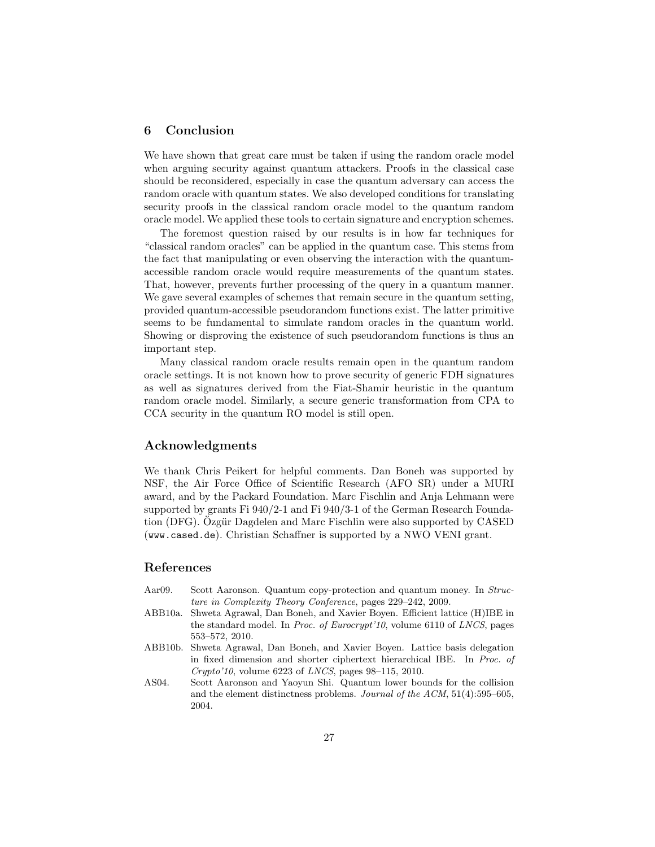## 6 Conclusion

We have shown that great care must be taken if using the random oracle model when arguing security against quantum attackers. Proofs in the classical case should be reconsidered, especially in case the quantum adversary can access the random oracle with quantum states. We also developed conditions for translating security proofs in the classical random oracle model to the quantum random oracle model. We applied these tools to certain signature and encryption schemes.

The foremost question raised by our results is in how far techniques for "classical random oracles" can be applied in the quantum case. This stems from the fact that manipulating or even observing the interaction with the quantumaccessible random oracle would require measurements of the quantum states. That, however, prevents further processing of the query in a quantum manner. We gave several examples of schemes that remain secure in the quantum setting, provided quantum-accessible pseudorandom functions exist. The latter primitive seems to be fundamental to simulate random oracles in the quantum world. Showing or disproving the existence of such pseudorandom functions is thus an important step.

Many classical random oracle results remain open in the quantum random oracle settings. It is not known how to prove security of generic FDH signatures as well as signatures derived from the Fiat-Shamir heuristic in the quantum random oracle model. Similarly, a secure generic transformation from CPA to CCA security in the quantum RO model is still open.

### Acknowledgments

We thank Chris Peikert for helpful comments. Dan Boneh was supported by NSF, the Air Force Office of Scientific Research (AFO SR) under a MURI award, and by the Packard Foundation. Marc Fischlin and Anja Lehmann were supported by grants Fi 940/2-1 and Fi 940/3-1 of the German Research Foundation (DFG). Ozgür Dagdelen and Marc Fischlin were also supported by CASED (www.cased.de). Christian Schaffner is supported by a NWO VENI grant.

#### References

- <span id="page-26-3"></span>Aar09. Scott Aaronson. Quantum copy-protection and quantum money. In Structure in Complexity Theory Conference, pages 229–242, 2009.
- <span id="page-26-0"></span>ABB10a. Shweta Agrawal, Dan Boneh, and Xavier Boyen. Efficient lattice (H)IBE in the standard model. In Proc. of Eurocrypt'10, volume 6110 of LNCS, pages 553–572, 2010.
- <span id="page-26-2"></span>ABB10b. Shweta Agrawal, Dan Boneh, and Xavier Boyen. Lattice basis delegation in fixed dimension and shorter ciphertext hierarchical IBE. In Proc. of Crypto'10, volume 6223 of LNCS, pages 98–115, 2010.
- <span id="page-26-1"></span>AS04. Scott Aaronson and Yaoyun Shi. Quantum lower bounds for the collision and the element distinctness problems. Journal of the ACM, 51(4):595–605, 2004.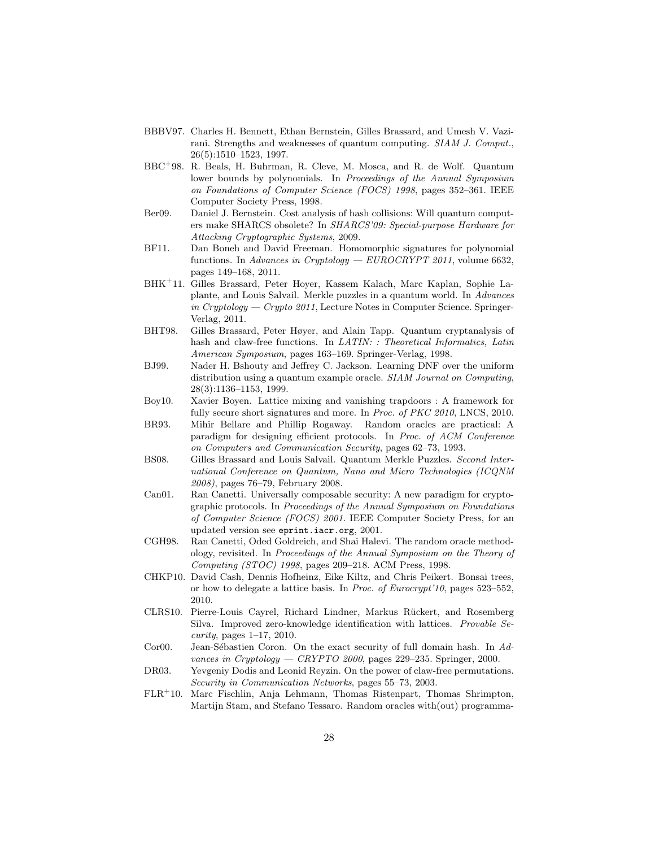- <span id="page-27-6"></span>BBBV97. Charles H. Bennett, Ethan Bernstein, Gilles Brassard, and Umesh V. Vazirani. Strengths and weaknesses of quantum computing. SIAM J. Comput., 26(5):1510–1523, 1997.
- <span id="page-27-14"></span>BBC<sup>+</sup>98. R. Beals, H. Buhrman, R. Cleve, M. Mosca, and R. de Wolf. Quantum lower bounds by polynomials. In Proceedings of the Annual Symposium on Foundations of Computer Science (FOCS) 1998, pages 352–361. IEEE Computer Society Press, 1998.
- <span id="page-27-15"></span>Ber09. Daniel J. Bernstein. Cost analysis of hash collisions: Will quantum computers make SHARCS obsolete? In SHARCS'09: Special-purpose Hardware for Attacking Cryptographic Systems, 2009.
- <span id="page-27-1"></span>BF11. Dan Boneh and David Freeman. Homomorphic signatures for polynomial functions. In Advances in Cryptology —  $EUROCRYPT 2011$ , volume 6632, pages 149–168, 2011.
- <span id="page-27-12"></span>BHK<sup>+</sup>11. Gilles Brassard, Peter Hoyer, Kassem Kalach, Marc Kaplan, Sophie Laplante, and Louis Salvail. Merkle puzzles in a quantum world. In Advances in Cryptology — Crypto 2011, Lecture Notes in Computer Science. Springer-Verlag, 2011.
- <span id="page-27-8"></span>BHT98. Gilles Brassard, Peter Høyer, and Alain Tapp. Quantum cryptanalysis of hash and claw-free functions. In *LATIN: : Theoretical Informatics*, *Latin* American Symposium, pages 163–169. Springer-Verlag, 1998.
- <span id="page-27-5"></span>BJ99. Nader H. Bshouty and Jeffrey C. Jackson. Learning DNF over the uniform distribution using a quantum example oracle. SIAM Journal on Computing, 28(3):1136–1153, 1999.
- <span id="page-27-4"></span>Boy10. Xavier Boyen. Lattice mixing and vanishing trapdoors : A framework for fully secure short signatures and more. In Proc. of PKC 2010, LNCS, 2010.
- <span id="page-27-0"></span>BR93. Mihir Bellare and Phillip Rogaway. Random oracles are practical: A paradigm for designing efficient protocols. In Proc. of ACM Conference on Computers and Communication Security, pages 62–73, 1993.
- <span id="page-27-11"></span>BS08. Gilles Brassard and Louis Salvail. Quantum Merkle Puzzles. Second International Conference on Quantum, Nano and Micro Technologies (ICQNM 2008), pages 76–79, February 2008.
- <span id="page-27-13"></span>Can01. Ran Canetti. Universally composable security: A new paradigm for cryptographic protocols. In Proceedings of the Annual Symposium on Foundations of Computer Science (FOCS) 2001. IEEE Computer Society Press, for an updated version see eprint.iacr.org, 2001.
- <span id="page-27-7"></span>CGH98. Ran Canetti, Oded Goldreich, and Shai Halevi. The random oracle methodology, revisited. In Proceedings of the Annual Symposium on the Theory of Computing (STOC) 1998, pages 209–218. ACM Press, 1998.
- <span id="page-27-3"></span>CHKP10. David Cash, Dennis Hofheinz, Eike Kiltz, and Chris Peikert. Bonsai trees, or how to delegate a lattice basis. In Proc. of Eurocrypt'10, pages 523–552, 2010.
- <span id="page-27-2"></span>CLRS10. Pierre-Louis Cayrel, Richard Lindner, Markus R¨uckert, and Rosemberg Silva. Improved zero-knowledge identification with lattices. Provable Se $curity$ , pages 1–17, 2010.
- <span id="page-27-9"></span>Cor00. Jean-Sébastien Coron. On the exact security of full domain hash. In Advances in Cryptology — CRYPTO 2000, pages 229-235. Springer, 2000.
- <span id="page-27-16"></span>DR03. Yevgeniy Dodis and Leonid Reyzin. On the power of claw-free permutations. Security in Communication Networks, pages 55–73, 2003.
- <span id="page-27-10"></span>FLR<sup>+</sup>10. Marc Fischlin, Anja Lehmann, Thomas Ristenpart, Thomas Shrimpton, Martijn Stam, and Stefano Tessaro. Random oracles with(out) programma-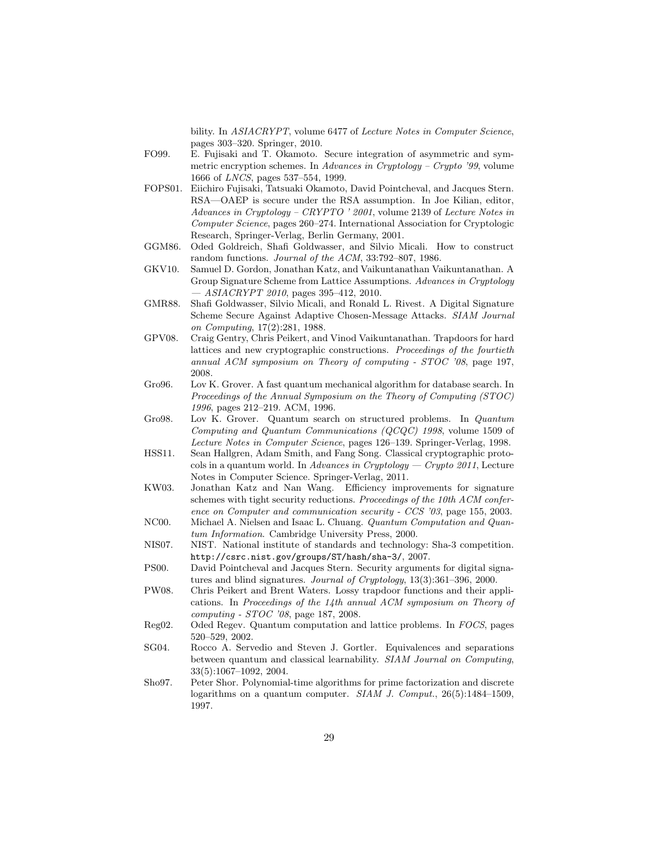bility. In ASIACRYPT, volume 6477 of Lecture Notes in Computer Science, pages 303–320. Springer, 2010.

- <span id="page-28-9"></span>FO99. E. Fujisaki and T. Okamoto. Secure integration of asymmetric and symmetric encryption schemes. In Advances in Cryptology – Crypto '99, volume 1666 of LNCS, pages 537–554, 1999.
- <span id="page-28-5"></span>FOPS01. Eiichiro Fujisaki, Tatsuaki Okamoto, David Pointcheval, and Jacques Stern. RSA—OAEP is secure under the RSA assumption. In Joe Kilian, editor, Advances in Cryptology – CRYPTO ' 2001, volume 2139 of Lecture Notes in Computer Science, pages 260–274. International Association for Cryptologic Research, Springer-Verlag, Berlin Germany, 2001.
- <span id="page-28-7"></span>GGM86. Oded Goldreich, Shafi Goldwasser, and Silvio Micali. How to construct random functions. Journal of the ACM, 33:792–807, 1986.
- <span id="page-28-3"></span>GKV10. Samuel D. Gordon, Jonathan Katz, and Vaikuntanathan Vaikuntanathan. A Group Signature Scheme from Lattice Assumptions. Advances in Cryptology — ASIACRYPT 2010, pages 395–412, 2010.
- <span id="page-28-15"></span>GMR88. Shafi Goldwasser, Silvio Micali, and Ronald L. Rivest. A Digital Signature Scheme Secure Against Adaptive Chosen-Message Attacks. SIAM Journal on Computing, 17(2):281, 1988.
- <span id="page-28-2"></span>GPV08. Craig Gentry, Chris Peikert, and Vinod Vaikuntanathan. Trapdoors for hard lattices and new cryptographic constructions. Proceedings of the fourtieth annual ACM symposium on Theory of computing - STOC '08, page 197, 2008.
- <span id="page-28-12"></span>Gro96. Lov K. Grover. A fast quantum mechanical algorithm for database search. In Proceedings of the Annual Symposium on the Theory of Computing (STOC) 1996, pages 212–219. ACM, 1996.
- <span id="page-28-13"></span>Gro98. Lov K. Grover. Quantum search on structured problems. In Quantum Computing and Quantum Communications (QCQC) 1998, volume 1509 of Lecture Notes in Computer Science, pages 126–139. Springer-Verlag, 1998.
- <span id="page-28-10"></span>HSS11. Sean Hallgren, Adam Smith, and Fang Song. Classical cryptographic protocols in a quantum world. In Advances in Cryptology — Crypto 2011, Lecture Notes in Computer Science. Springer-Verlag, 2011.
- <span id="page-28-8"></span>KW03. Jonathan Katz and Nan Wang. Efficiency improvements for signature schemes with tight security reductions. Proceedings of the 10th ACM conference on Computer and communication security - CCS '03, page 155, 2003.
- <span id="page-28-11"></span>NC00. Michael A. Nielsen and Isaac L. Chuang. Quantum Computation and Quantum Information. Cambridge University Press, 2000.
- <span id="page-28-14"></span>NIS07. NIST. National institute of standards and technology: Sha-3 competition. http://csrc.nist.gov/groups/ST/hash/sha-3/, 2007.
- <span id="page-28-6"></span>PS00. David Pointcheval and Jacques Stern. Security arguments for digital signatures and blind signatures. Journal of Cryptology, 13(3):361–396, 2000.
- <span id="page-28-16"></span>PW08. Chris Peikert and Brent Waters. Lossy trapdoor functions and their applications. In Proceedings of the 14th annual ACM symposium on Theory of computing - STOC '08, page 187, 2008.
- <span id="page-28-1"></span>Reg02. Oded Regev. Quantum computation and lattice problems. In FOCS, pages 520–529, 2002.
- <span id="page-28-4"></span>SG04. Rocco A. Servedio and Steven J. Gortler. Equivalences and separations between quantum and classical learnability. SIAM Journal on Computing, 33(5):1067–1092, 2004.
- <span id="page-28-0"></span>Sho97. Peter Shor. Polynomial-time algorithms for prime factorization and discrete logarithms on a quantum computer. SIAM J. Comput., 26(5):1484-1509, 1997.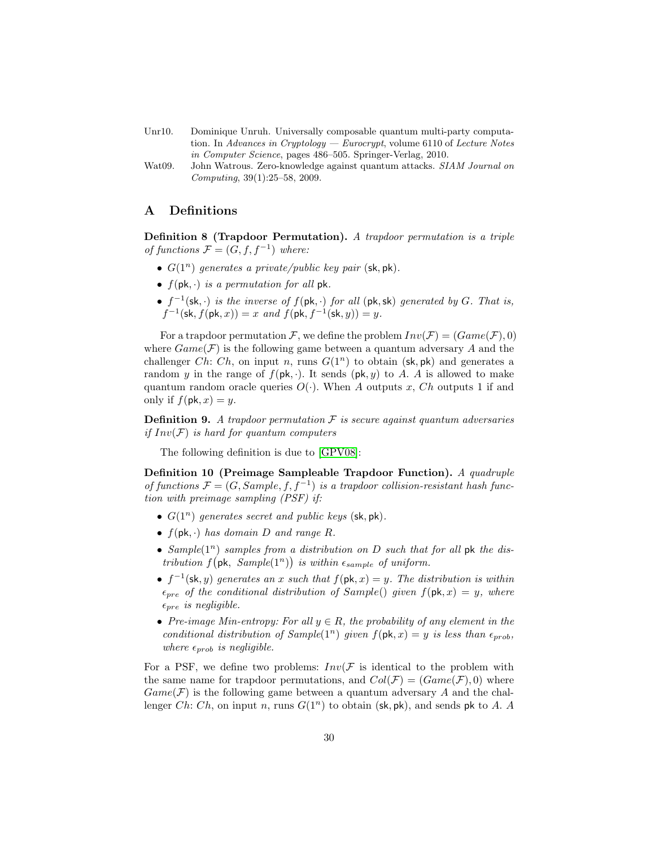- <span id="page-29-1"></span>Unr10. Dominique Unruh. Universally composable quantum multi-party computation. In Advances in Cryptology — Eurocrypt, volume 6110 of Lecture Notes in Computer Science, pages 486–505. Springer-Verlag, 2010.
- <span id="page-29-0"></span>Wat09. John Watrous. Zero-knowledge against quantum attacks. SIAM Journal on Computing, 39(1):25–58, 2009.

## A Definitions

Definition 8 (Trapdoor Permutation). A trapdoor permutation is a triple of functions  $\mathcal{F} = (G, f, f^{-1})$  where:

- $G(1^n)$  generates a private/public key pair (sk, pk).
- $f(\mathsf{pk}, \cdot)$  is a permutation for all  $\mathsf{pk}$ .
- $f^{-1}(\mathsf{sk},\cdot)$  is the inverse of  $f(\mathsf{pk},\cdot)$  for all  $(\mathsf{pk},\mathsf{sk})$  generated by G. That is,  $f^{-1}(\mathsf{sk}, f(\mathsf{pk}, x)) = x \text{ and } f(\mathsf{pk}, f^{-1}(\mathsf{sk}, y)) = y.$

For a trapdoor permutation F, we define the problem  $Inv(\mathcal{F}) = (Game(\mathcal{F}), 0)$ where  $Game(\mathcal{F})$  is the following game between a quantum adversary A and the challenger Ch: Ch, on input n, runs  $G(1^n)$  to obtain (sk, pk) and generates a random y in the range of  $f(\mathsf{pk}, \cdot)$ . It sends  $(\mathsf{pk}, y)$  to A. A is allowed to make quantum random oracle queries  $O(\cdot)$ . When A outputs x, Ch outputs 1 if and only if  $f(\mathsf{pk}, x) = y$ .

**Definition 9.** A trapdoor permutation  $\mathcal F$  is secure against quantum adversaries if  $Inv(\mathcal{F})$  is hard for quantum computers

The following definition is due to [\[GPV08\]](#page-28-2):

Definition 10 (Preimage Sampleable Trapdoor Function). A quadruple of functions  $\mathcal{F} = (G, Sample, f, f^{-1})$  is a trapdoor collision-resistant hash function with preimage sampling (PSF) if:

- $G(1^n)$  generates secret and public keys (sk, pk).
- $f(\mathsf{pk}, \cdot)$  has domain D and range R.
- Sample( $1^n$ ) samples from a distribution on D such that for all pk the distribution  $f(\mathsf{pk}, \; Sample(1^n))$  is within  $\epsilon_{sample}$  of uniform.
- $f^{-1}$ (sk, y) generates an x such that  $f(\mathsf{pk}, x) = y$ . The distribution is within  $\epsilon_{\text{pre}}$  of the conditional distribution of Sample() given  $f(\mathsf{pk}, x) = y$ , where  $\epsilon_{pre}$  is negligible.
- Pre-image Min-entropy: For all  $y \in R$ , the probability of any element in the conditional distribution of Sample(1<sup>n</sup>) given  $f(\mathsf{pk}, x) = y$  is less than  $\epsilon_{\text{prob}}$ , where  $\epsilon_{prob}$  is negligible.

For a PSF, we define two problems:  $Inv(\mathcal{F}$  is identical to the problem with the same name for trapdoor permutations, and  $Col(\mathcal{F}) = (Game(\mathcal{F}), 0)$  where  $Game(\mathcal{F})$  is the following game between a quantum adversary A and the challenger Ch: Ch, on input n, runs  $G(1^n)$  to obtain (sk, pk), and sends pk to A. A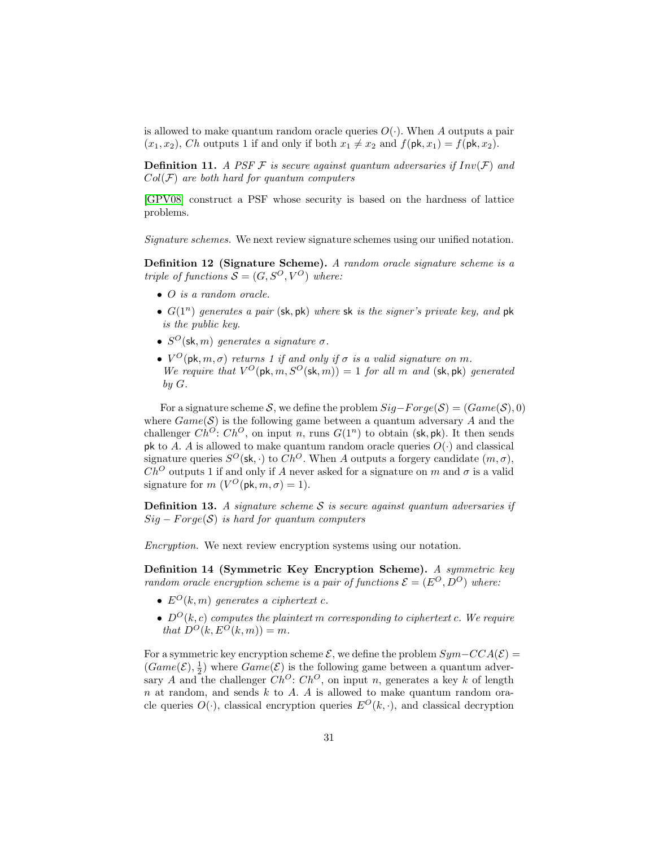is allowed to make quantum random oracle queries  $O(\cdot)$ . When A outputs a pair  $(x_1, x_2)$ , Ch outputs 1 if and only if both  $x_1 \neq x_2$  and  $f(\mathsf{pk}, x_1) = f(\mathsf{pk}, x_2)$ .

**Definition 11.** A PSF  $\mathcal F$  is secure against quantum adversaries if  $Inv(\mathcal F)$  and  $Col(\mathcal{F})$  are both hard for quantum computers

[\[GPV08\]](#page-28-2) construct a PSF whose security is based on the hardness of lattice problems.

Signature schemes. We next review signature schemes using our unified notation.

Definition 12 (Signature Scheme). A random oracle signature scheme is a triple of functions  $S = (G, S^O, V^O)$  where:

- O is a random oracle.
- $G(1^n)$  generates a pair (sk, pk) where sk is the signer's private key, and pk is the public key.
- $S^O(\textsf{sk}, m)$  generates a signature  $\sigma$ .
- $V^{O}(\mathsf{pk}, m, \sigma)$  returns 1 if and only if  $\sigma$  is a valid signature on m. We require that  $V^O(\mathsf{pk}, m, S^O(\mathsf{sk}, m)) = 1$  for all m and  $(\mathsf{sk}, \mathsf{pk})$  generated by G.

For a signature scheme S, we define the problem  $Sig-Forge(\mathcal{S}) = (Game(\mathcal{S}), 0)$ where  $Game(S)$  is the following game between a quantum adversary A and the challenger  $Ch^O: Ch^O$ , on input n, runs  $G(1^n)$  to obtain (sk, pk). It then sends pk to A. A is allowed to make quantum random oracle queries  $O(\cdot)$  and classical signature queries  $S^{O}(\mathsf{sk}, \cdot)$  to  $Ch^{O}$ . When A outputs a forgery candidate  $(m, \sigma)$ ,  $Ch^O$  outputs 1 if and only if A never asked for a signature on m and  $\sigma$  is a valid signature for  $m (V^O(\mathsf{pk}, m, \sigma) = 1)$ .

**Definition 13.** A signature scheme S is secure against quantum adversaries if  $Sig - Forge(S)$  is hard for quantum computers

Encryption. We next review encryption systems using our notation.

Definition 14 (Symmetric Key Encryption Scheme). A symmetric key random oracle encryption scheme is a pair of functions  $\mathcal{E} = (E^O, D^O)$  where:

- $E^{O}(k, m)$  generates a ciphertext c.
- $D^{O}(k, c)$  computes the plaintext m corresponding to ciphertext c. We require that  $D^{O}(k, E^{O}(k,m)) = m$ .

For a symmetric key encryption scheme  $\mathcal{E}$ , we define the problem  $Sym-CCA(\mathcal{E})=$  $(Game(\mathcal{E}), \frac{1}{2})$  where  $Game(\mathcal{E})$  is the following game between a quantum adversary A and the challenger  $Ch^O$ :  $Ch^O$ , on input n, generates a key k of length  $n$  at random, and sends  $k$  to  $A$ .  $A$  is allowed to make quantum random oracle queries  $O(\cdot)$ , classical encryption queries  $E^{O}(k, \cdot)$ , and classical decryption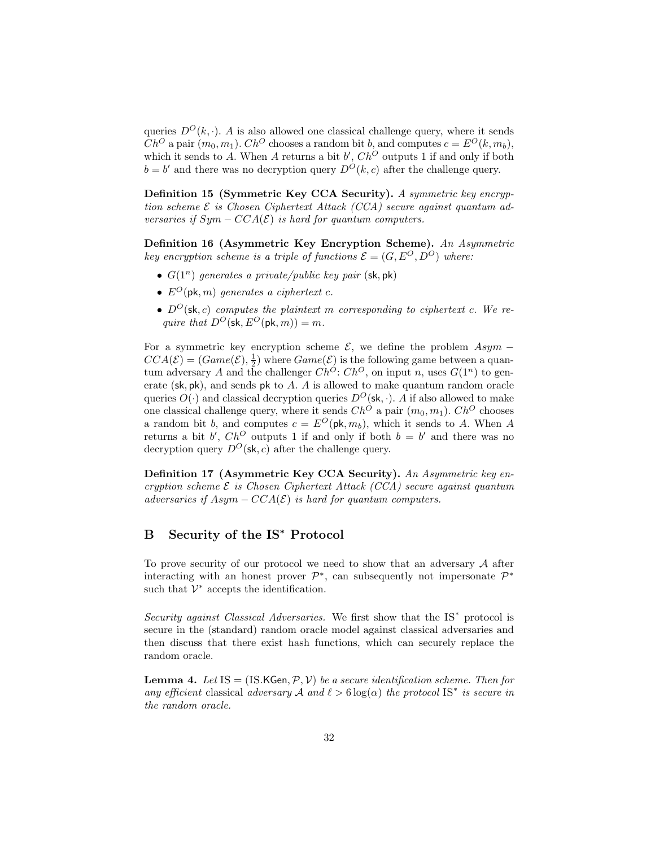queries  $D^{O}(k, \cdot)$ . A is also allowed one classical challenge query, where it sends  $Ch^O$  a pair  $(m_0, m_1)$ .  $Ch^O$  chooses a random bit b, and computes  $c = E^O(k, m_b)$ , which it sends to A. When A returns a bit  $b'$ ,  $Ch^O$  outputs 1 if and only if both  $b = b'$  and there was no decryption query  $D^{O}(k, c)$  after the challenge query.

Definition 15 (Symmetric Key CCA Security). A symmetric key encryption scheme  $\mathcal E$  is Chosen Ciphertext Attack (CCA) secure against quantum adversaries if  $Sym-CCA(\mathcal{E})$  is hard for quantum computers.

Definition 16 (Asymmetric Key Encryption Scheme). An Asymmetric key encryption scheme is a triple of functions  $\mathcal{E} = (G, E^O, D^O)$  where:

- $G(1^n)$  generates a private/public key pair (sk, pk)
- $E^{O}(\mathsf{pk}, m)$  generates a ciphertext c.
- $D^{O}(\mathsf{sk}, c)$  computes the plaintext m corresponding to ciphertext c. We require that  $D^{O}(\mathsf{sk}, E^{O}(\mathsf{pk}, m)) = m$ .

For a symmetric key encryption scheme  $\mathcal{E}$ , we define the problem  $Asym CCA(\mathcal{E})=(Game(\mathcal{E}), \frac{1}{2})$  where  $Game(\mathcal{E})$  is the following game between a quan- $\text{Conv}(C) = (\text{Game}(C), \frac{1}{2})$  where  $\text{Game}(C)$  is the following gaint between a qualitum adversary A and the challenger  $Ch^O$ :  $Ch^O$ , on input n, uses  $G(1^n)$  to generate  $(\mathsf{sk}, \mathsf{pk})$ , and sends  $\mathsf{pk}$  to A. A is allowed to make quantum random oracle queries  $O(\cdot)$  and classical decryption queries  $D^{O}(\mathsf{sk}, \cdot)$ . A if also allowed to make one classical challenge query, where it sends  $Ch^O$  a pair  $(m_0, m_1)$ .  $Ch^O$  chooses a random bit b, and computes  $c = E^{O}(\mathsf{pk}, m_b)$ , which it sends to A. When A returns a bit b',  $Ch^O$  outputs 1 if and only if both  $b = b'$  and there was no decryption query  $D^{O}(\mathsf{sk}, c)$  after the challenge query.

Definition 17 (Asymmetric Key CCA Security). An Asymmetric key encryption scheme  $\mathcal E$  is Chosen Ciphertext Attack (CCA) secure against quantum adversaries if  $Asym-CCA(\mathcal{E})$  is hard for quantum computers.

## <span id="page-31-0"></span>B Security of the IS<sup>\*</sup> Protocol

To prove security of our protocol we need to show that an adversary  $A$  after interacting with an honest prover  $\mathcal{P}^*$ , can subsequently not impersonate  $\mathcal{P}^*$ such that  $\mathcal{V}^*$  accepts the identification.

Security against Classical Adversaries. We first show that the IS<sup>\*</sup> protocol is secure in the (standard) random oracle model against classical adversaries and then discuss that there exist hash functions, which can securely replace the random oracle.

<span id="page-31-1"></span>**Lemma 4.** Let  $IS = (IS.KGen, P, V)$  be a secure identification scheme. Then for any efficient classical adversary A and  $\ell > 6 \log(\alpha)$  the protocol IS<sup>\*</sup> is secure in the random oracle.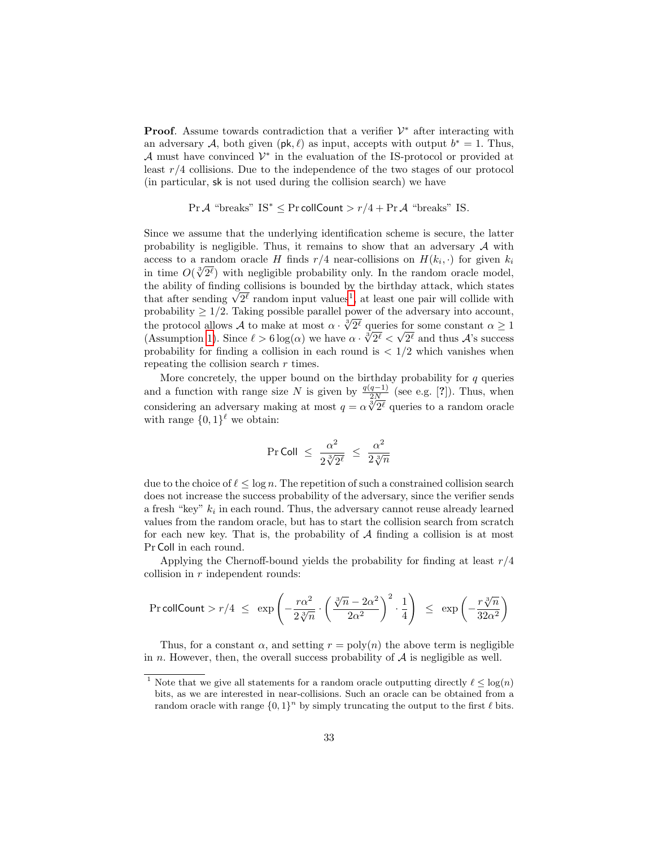**Proof.** Assume towards contradiction that a verifier  $\mathcal{V}^*$  after interacting with an adversary A, both given  $(\mathsf{pk}, \ell)$  as input, accepts with output  $b^* = 1$ . Thus, A must have convinced  $\mathcal{V}^*$  in the evaluation of the IS-protocol or provided at least  $r/4$  collisions. Due to the independence of the two stages of our protocol (in particular, sk is not used during the collision search) we have

Pr A "breaks"  $IS^*$  < Pr coll Count >  $r/4$  + Pr A "breaks" IS.

Since we assume that the underlying identification scheme is secure, the latter probability is negligible. Thus, it remains to show that an adversary  $A$  with access to a random oracle H finds  $r/4$  near-collisions on  $H(k_i, \cdot)$  for given  $k_i$ access to a random oracle *H* imas  $r/4$  near-comsions on  $H(k_i, \cdot)$  for given  $k_i$ <br>in time  $O(\sqrt[3]{2^{\ell}})$  with negligible probability only. In the random oracle model, the ability of finding collisions is bounded by the birthday attack, which states the ability of finding collisions is bounded by the birthday attack, which states that after sending  $\sqrt{2^{\ell}}$  random input values<sup>[1](#page-32-0)</sup>, at least one pair will collide with probability  $\geq 1/2$ . Taking possible parallel power of the adversary into account, probability  $\geq 1/2$ . Taking possible parallel power of the adversary into account,<br>the protocol allows A to make at most  $\alpha \cdot \sqrt[3]{2^{\ell}}$  queries for some constant  $\alpha \geq 1$ (Assumption [1\)](#page-10-0). Since  $\ell > 6 \log(\alpha)$  we have  $\alpha \cdot \sqrt[3]{2^{\ell}} < \sqrt{2^{\ell}}$  and thus  $\mathcal{A}$ 's success probability for finding a collision in each round is  $\langle 1/2 \rangle$  which vanishes when repeating the collision search r times.

More concretely, the upper bound on the birthday probability for  $q$  queries and a function with range size N is given by  $\frac{q(q-1)}{2N}$  (see e.g. [?]). Thus, when considering an adversary making at most  $q = \alpha \sqrt[3]{2^{\ell}}$  queries to a random oracle with range  $\{0,1\}^{\ell}$  we obtain:

$$
\Pr{{\rm Coll}}~\leq~\frac{\alpha^2}{2\sqrt[3]{2^\ell}}~\leq~\frac{\alpha^2}{2\sqrt[3]{n}}
$$

due to the choice of  $\ell \leq \log n$ . The repetition of such a constrained collision search does not increase the success probability of the adversary, since the verifier sends a fresh "key"  $k_i$  in each round. Thus, the adversary cannot reuse already learned values from the random oracle, but has to start the collision search from scratch for each new key. That is, the probability of  $A$  finding a collision is at most Pr Coll in each round.

Applying the Chernoff-bound yields the probability for finding at least  $r/4$ collision in  $r$  independent rounds:

$$
\text{Pr}\,\text{collCount} > r/4 \ \leq \ \exp\left(-\frac{r\alpha^2}{2\sqrt[3]{n}} \cdot \left(\frac{\sqrt[3]{n} - 2\alpha^2}{2\alpha^2}\right)^2 \cdot \frac{1}{4}\right) \ \leq \ \exp\left(-\frac{r\sqrt[3]{n}}{32\alpha^2}\right)
$$

Thus, for a constant  $\alpha$ , and setting  $r = \text{poly}(n)$  the above term is negligible in n. However, then, the overall success probability of  $A$  is negligible as well.

<span id="page-32-0"></span><sup>&</sup>lt;sup>1</sup> Note that we give all statements for a random oracle outputting directly  $\ell \leq \log(n)$ bits, as we are interested in near-collisions. Such an oracle can be obtained from a random oracle with range  $\{0,1\}^n$  by simply truncating the output to the first  $\ell$  bits.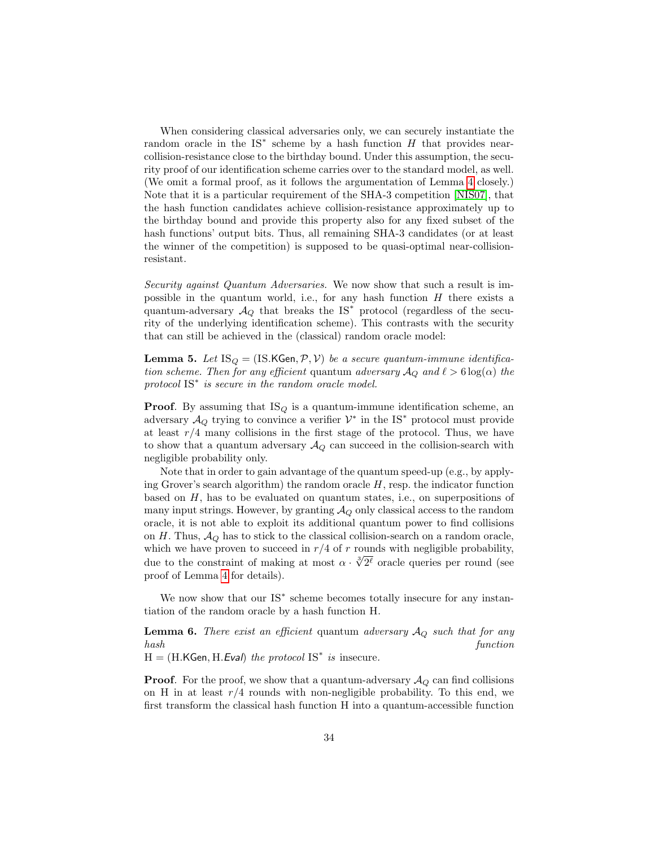When considering classical adversaries only, we can securely instantiate the random oracle in the  $IS^*$  scheme by a hash function  $H$  that provides nearcollision-resistance close to the birthday bound. Under this assumption, the security proof of our identification scheme carries over to the standard model, as well. (We omit a formal proof, as it follows the argumentation of Lemma [4](#page-31-1) closely.) Note that it is a particular requirement of the SHA-3 competition [\[NIS07\]](#page-28-14), that the hash function candidates achieve collision-resistance approximately up to the birthday bound and provide this property also for any fixed subset of the hash functions' output bits. Thus, all remaining SHA-3 candidates (or at least the winner of the competition) is supposed to be quasi-optimal near-collisionresistant.

Security against Quantum Adversaries. We now show that such a result is impossible in the quantum world, i.e., for any hash function  $H$  there exists a quantum-adversary  $\mathcal{A}_Q$  that breaks the IS<sup>\*</sup> protocol (regardless of the security of the underlying identification scheme). This contrasts with the security that can still be achieved in the (classical) random oracle model:

**Lemma 5.** Let  $IS_Q = (IS.KGen, P, V)$  be a secure quantum-immune identification scheme. Then for any efficient quantum adversary  $A_Q$  and  $\ell > 6 \log(\alpha)$  the protocol IS<sup>\*</sup> is secure in the random oracle model.

**Proof.** By assuming that  $IS_Q$  is a quantum-immune identification scheme, an adversary  $\mathcal{A}_Q$  trying to convince a verifier  $\mathcal{V}^*$  in the IS<sup>\*</sup> protocol must provide at least  $r/4$  many collisions in the first stage of the protocol. Thus, we have to show that a quantum adversary  $A_Q$  can succeed in the collision-search with negligible probability only.

Note that in order to gain advantage of the quantum speed-up (e.g., by applying Grover's search algorithm) the random oracle  $H$ , resp. the indicator function based on  $H$ , has to be evaluated on quantum states, i.e., on superpositions of many input strings. However, by granting  $A_Q$  only classical access to the random oracle, it is not able to exploit its additional quantum power to find collisions on  $H$ . Thus,  $\mathcal{A}_Q$  has to stick to the classical collision-search on a random oracle, which we have proven to succeed in  $r/4$  of r rounds with negligible probability, due to the constraint of making at most  $\alpha \cdot \sqrt[3]{2^{\ell}}$  oracle queries per round (see proof of Lemma [4](#page-31-1) for details).

<span id="page-33-0"></span>We now show that our IS<sup>\*</sup> scheme becomes totally insecure for any instantiation of the random oracle by a hash function H.

**Lemma 6.** There exist an efficient quantum adversary  $A_Q$  such that for any hash function

 $H = (H.KGen, H.Eval)$  the protocol  $IS^*$  is insecure.

**Proof.** For the proof, we show that a quantum-adversary  $\mathcal{A}_Q$  can find collisions on H in at least  $r/4$  rounds with non-negligible probability. To this end, we first transform the classical hash function H into a quantum-accessible function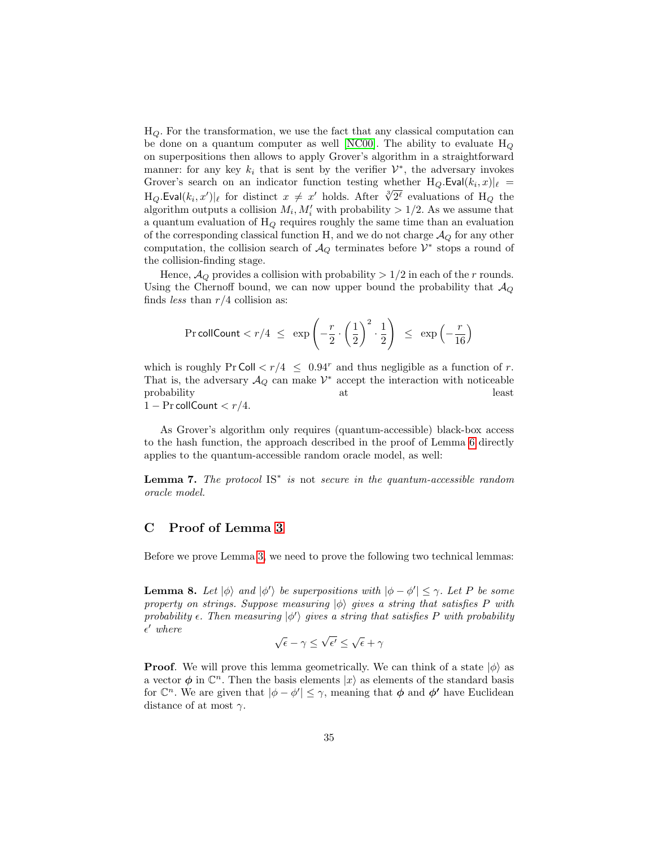$H_Q$ . For the transformation, we use the fact that any classical computation can be done on a quantum computer as well [\[NC00\]](#page-28-11). The ability to evaluate  $H_Q$ on superpositions then allows to apply Grover's algorithm in a straightforward manner: for any key  $k_i$  that is sent by the verifier  $\mathcal{V}^*$ , the adversary invokes Grover's search on an indicator function testing whether  $H_Q$ . Eval $(k_i, x)|_{\ell}$  = Grover s search on an indicator function testing whether  $H_Q$ . Evaluations of  $H_Q$  the  $H_Q$ . Evaluations of  $H_Q$  the algorithm outputs a collision  $M_i, M'_i$  with probability  $> 1/2$ . As we assume that a quantum evaluation of  $H_Q$  requires roughly the same time than an evaluation of the corresponding classical function H, and we do not charge  $\mathcal{A}_{Q}$  for any other computation, the collision search of  $\mathcal{A}_{Q}$  terminates before  $\mathcal{V}^*$  stops a round of the collision-finding stage.

Hence,  $\mathcal{A}_Q$  provides a collision with probability  $> 1/2$  in each of the r rounds. Using the Chernoff bound, we can now upper bound the probability that  $A_Q$ finds *less* than  $r/4$  collision as:

$$
\Pr{\text{collCount}} < r/4 \leq \exp\left(-\frac{r}{2} \cdot \left(\frac{1}{2}\right)^2 \cdot \frac{1}{2}\right) \leq \exp\left(-\frac{r}{16}\right)
$$

which is roughly Pr Coll  $\langle r/4 \rangle \leq 0.94r$  and thus negligible as a function of r. That is, the adversary  $\mathcal{A}_Q$  can make  $\mathcal{V}^*$  accept the interaction with noticeable probability at least least

1 – Pr collCount  $\langle r/4.$ 

As Grover's algorithm only requires (quantum-accessible) black-box access to the hash function, the approach described in the proof of Lemma [6](#page-33-0) directly applies to the quantum-accessible random oracle model, as well:

**Lemma 7.** The protocol  $IS^*$  is not secure in the quantum-accessible random oracle model.

### C Proof of Lemma [3](#page-16-0)

Before we prove Lemma [3,](#page-16-0) we need to prove the following two technical lemmas:

**Lemma 8.** Let  $|\phi\rangle$  and  $|\phi'\rangle$  be superpositions with  $|\phi - \phi'| \leq \gamma$ . Let P be some property on strings. Suppose measuring  $|\phi\rangle$  gives a string that satisfies P with probability  $\epsilon$ . Then measuring  $|\phi'\rangle$  gives a string that satisfies P with probability  $\epsilon'$  where √ √ √

$$
\sqrt{\epsilon}-\gamma\leq\sqrt{\epsilon'}\leq\sqrt{\epsilon}+\gamma
$$

**Proof.** We will prove this lemma geometrically. We can think of a state  $|\phi\rangle$  as a vector  $\phi$  in  $\mathbb{C}^n$ . Then the basis elements  $|x\rangle$  as elements of the standard basis for  $\mathbb{C}^n$ . We are given that  $|\phi - \phi'| \leq \gamma$ , meaning that  $\phi$  and  $\phi'$  have Euclidean distance of at most  $\gamma$ .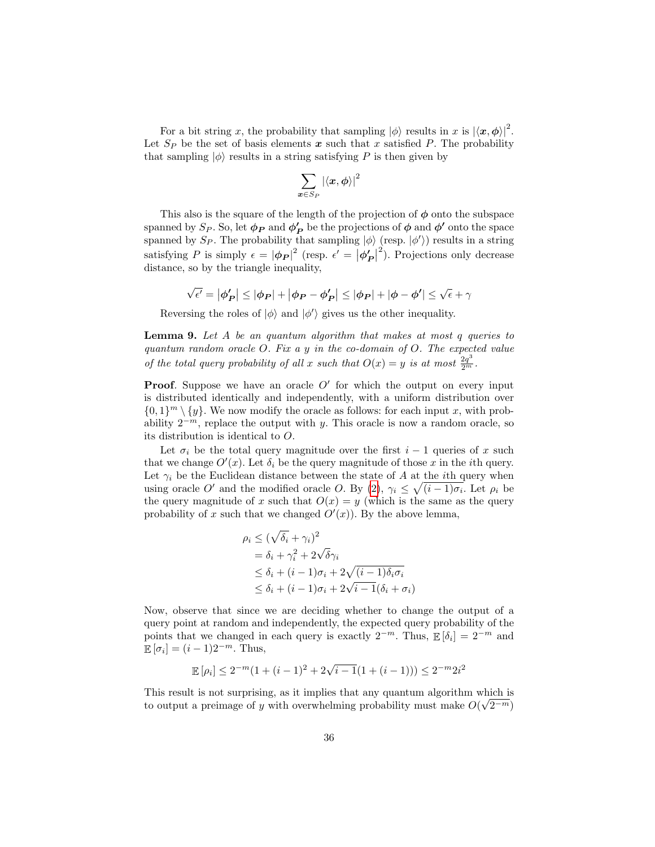For a bit string x, the probability that sampling  $|\phi\rangle$  results in x is  $|\langle x, \phi \rangle|^2$ . Let  $S_P$  be the set of basis elements x such that x satisfied P. The probability that sampling  $|\phi\rangle$  results in a string satisfying P is then given by

$$
\sum_{\bm{x}\in S_P}|\langle \bm{x},\bm{\phi}\rangle|^2
$$

This also is the square of the length of the projection of  $\phi$  onto the subspace spanned by  $S_P$ . So, let  $\phi_P$  and  $\phi'_P$  be the projections of  $\phi$  and  $\phi'$  onto the space spanned by  $S_P$ . The probability that sampling  $|\phi\rangle$  (resp.  $|\phi'\rangle$ ) results in a string satisfying P is simply  $\epsilon = |\phi_P|^2$  (resp.  $\epsilon' = |\phi_P'|$ <sup>2</sup>). Projections only decrease distance, so by the triangle inequality,

$$
\sqrt{\epsilon'} = |\phi'_{P}| \le |\phi_{P}| + |\phi_{P} - \phi'_{P}| \le |\phi_{P}| + |\phi - \phi'| \le \sqrt{\epsilon} + \gamma
$$

Reversing the roles of  $|\phi\rangle$  and  $|\phi'\rangle$  gives us the other inequality.

**Lemma 9.** Let  $A$  be an quantum algorithm that makes at most q queries to quantum random oracle  $O$ . Fix a y in the co-domain of  $O$ . The expected value of the total query probability of all x such that  $O(x) = y$  is at most  $\frac{2q^3}{2^m}$ .

**Proof.** Suppose we have an oracle  $O'$  for which the output on every input is distributed identically and independently, with a uniform distribution over  $\{0,1\}^m \setminus \{y\}$ . We now modify the oracle as follows: for each input x, with probability  $2^{-m}$ , replace the output with y. This oracle is now a random oracle, so its distribution is identical to O.

Let  $\sigma_i$  be the total query magnitude over the first  $i - 1$  queries of x such that we change  $O'(x)$ . Let  $\delta_i$  be the query magnitude of those x in the *i*th query. Let  $\gamma_i$  be the Euclidean distance between the state of A at the *i*th query when using oracle O' and the modified oracle O. By [\(2\)](#page-6-0),  $\gamma_i \leq \sqrt{(i-1)\sigma_i}$ . Let  $\rho_i$  be the query magnitude of x such that  $O(x) = y$  (which is the same as the query probability of x such that we changed  $O'(x)$ ). By the above lemma,

$$
\rho_i \le (\sqrt{\delta_i} + \gamma_i)^2
$$
  
=  $\delta_i + \gamma_i^2 + 2\sqrt{\delta}\gamma_i$   
 $\le \delta_i + (i - 1)\sigma_i + 2\sqrt{(i - 1)\delta_i\sigma_i}$   
 $\le \delta_i + (i - 1)\sigma_i + 2\sqrt{i - 1}(\delta_i + \sigma_i)$ 

Now, observe that since we are deciding whether to change the output of a query point at random and independently, the expected query probability of the points that we changed in each query is exactly  $2^{-m}$ . Thus,  $\mathbb{E}[\delta_i] = 2^{-m}$  and  $\mathbb{E}[\sigma_i] = (i-1)2^{-m}$ . Thus,

$$
\mathbb{E}[\rho_i] \le 2^{-m}(1 + (i-1)^2 + 2\sqrt{i-1}(1 + (i-1))) \le 2^{-m}2i^2
$$

This result is not surprising, as it implies that any quantum algorithm which is to output a preimage of y with overwhelming probability must make  $O(\sqrt{2^{-m}})$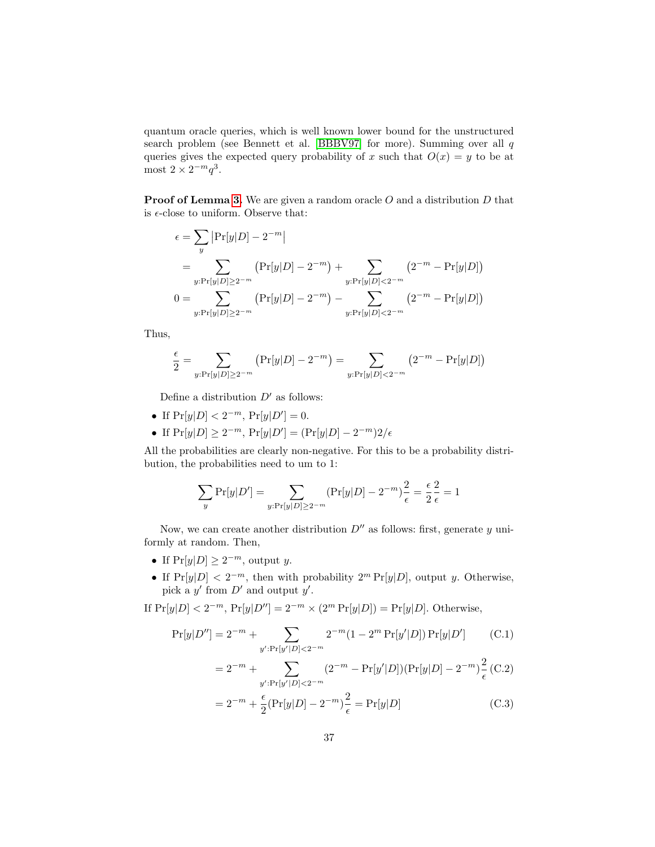quantum oracle queries, which is well known lower bound for the unstructured search problem (see Bennett et al. [\[BBBV97\]](#page-27-6) for more). Summing over all  $q$ queries gives the expected query probability of x such that  $O(x) = y$  to be at most  $2 \times 2^{-m} q^3$ .

**Proof of Lemma [3.](#page-16-0)** We are given a random oracle  $O$  and a distribution  $D$  that is  $\epsilon$ -close to uniform. Observe that:

$$
\epsilon = \sum_{y} |Pr[y|D] - 2^{-m}|
$$
  
= 
$$
\sum_{y:Pr[y|D] \ge 2^{-m}} (Pr[y|D] - 2^{-m}) + \sum_{y:Pr[y|D] < 2^{-m}} (2^{-m} - Pr[y|D])
$$
  

$$
0 = \sum_{y:Pr[y|D] \ge 2^{-m}} (Pr[y|D] - 2^{-m}) - \sum_{y:Pr[y|D] < 2^{-m}} (2^{-m} - Pr[y|D])
$$

Thus,

$$
\frac{\epsilon}{2} = \sum_{y:\Pr[y|D] \ge 2^{-m}} (\Pr[y|D] - 2^{-m}) = \sum_{y:\Pr[y|D] < 2^{-m}} (2^{-m} - \Pr[y|D])
$$

Define a distribution  $D'$  as follows:

- If  $Pr[y|D] < 2^{-m}$ ,  $Pr[y|D'] = 0$ .
- If  $Pr[y|D] \ge 2^{-m}$ ,  $Pr[y|D'] = (Pr[y|D] 2^{-m})2/\epsilon$

All the probabilities are clearly non-negative. For this to be a probability distribution, the probabilities need to um to 1:

$$
\sum_{y} \Pr[y|D'] = \sum_{y: \Pr[y|D] \ge 2^{-m}} (\Pr[y|D] - 2^{-m}) \frac{2}{\epsilon} = \frac{\epsilon}{2} \frac{2}{\epsilon} = 1
$$

Now, we can create another distribution  $D''$  as follows: first, generate y uniformly at random. Then,

- If  $Pr[y|D] \geq 2^{-m}$ , output y.
- If  $Pr[y|D] < 2^{-m}$ , then with probability  $2^m Pr[y|D]$ , output y. Otherwise, pick a  $y'$  from  $D'$  and output  $y'$ .

If  $Pr[y|D] < 2^{-m}$ ,  $Pr[y|D''] = 2^{-m} \times (2^m Pr[y|D]) = Pr[y|D]$ . Otherwise,

$$
\Pr[y|D''] = 2^{-m} + \sum_{y':\Pr[y'|D] < 2^{-m}} 2^{-m} (1 - 2^m \Pr[y'|D]) \Pr[y|D'] \tag{C.1}
$$
\n
$$
= 2^{-m} + \sum_{y':\Pr[y'|D] < 2^{-m}} (2^{-m} - \Pr[y'|D]) (\Pr[y|D] - 2^{-m}) \frac{2}{\epsilon} (\text{C.2})
$$
\n
$$
= 2^{-m} + \frac{\epsilon}{2} (\Pr[y|D] - 2^{-m}) \frac{2}{\epsilon} = \Pr[y|D] \tag{C.3}
$$